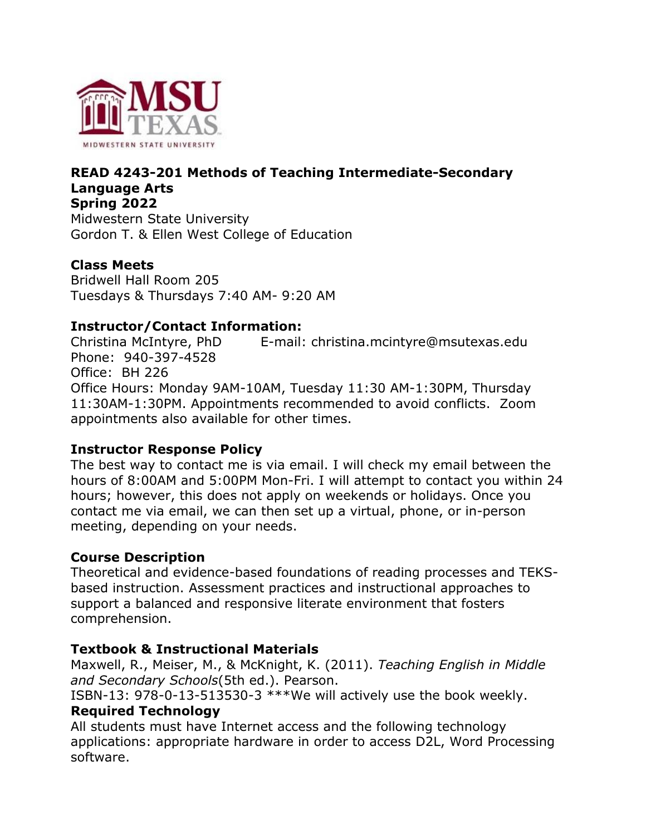

### **READ 4243-201 Methods of Teaching Intermediate-Secondary Language Arts Spring 2022** Midwestern State University

Gordon T. & Ellen West College of Education

### **Class Meets**

Bridwell Hall Room 205 Tuesdays & Thursdays 7:40 AM- 9:20 AM

## **Instructor/Contact Information:**

Christina McIntyre, PhD E-mail: christina.mcintyre@msutexas.edu Phone: 940-397-4528 Office: BH 226 Office Hours: Monday 9AM-10AM, Tuesday 11:30 AM-1:30PM, Thursday 11:30AM-1:30PM. Appointments recommended to avoid conflicts. Zoom appointments also available for other times.

### **Instructor Response Policy**

The best way to contact me is via email. I will check my email between the hours of 8:00AM and 5:00PM Mon-Fri. I will attempt to contact you within 24 hours; however, this does not apply on weekends or holidays. Once you contact me via email, we can then set up a virtual, phone, or in-person meeting, depending on your needs.

### **Course Description**

Theoretical and evidence-based foundations of reading processes and TEKSbased instruction. Assessment practices and instructional approaches to support a balanced and responsive literate environment that fosters comprehension.

## **Textbook & Instructional Materials**

Maxwell, R., Meiser, M., & McKnight, K. (2011). *Teaching English in Middle and Secondary Schools*(5th ed.). Pearson.

ISBN-13: 978-0-13-513530-3 \*\*\*We will actively use the book weekly. **Required Technology**

All students must have Internet access and the following technology applications: appropriate hardware in order to access D2L, Word Processing software.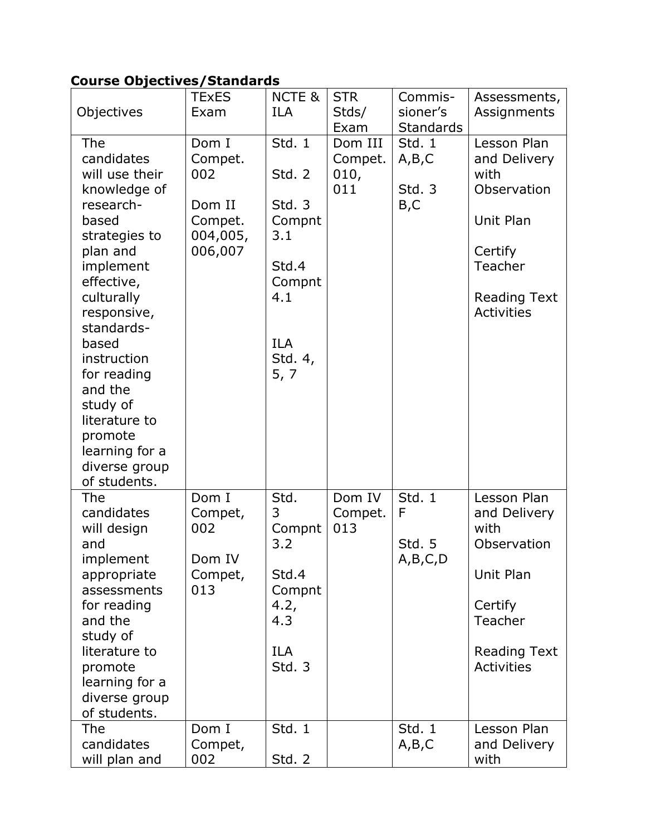# **Course Objectives/Standards**

|                                                                                                                                                                                                                                                                                                                           | <b>TExES</b>                                                        | <b>NCTE &amp;</b>                                                                                     | <b>STR</b>                        | Commis-                                   | Assessments,                                                                                                                      |
|---------------------------------------------------------------------------------------------------------------------------------------------------------------------------------------------------------------------------------------------------------------------------------------------------------------------------|---------------------------------------------------------------------|-------------------------------------------------------------------------------------------------------|-----------------------------------|-------------------------------------------|-----------------------------------------------------------------------------------------------------------------------------------|
| Objectives                                                                                                                                                                                                                                                                                                                | Exam                                                                | <b>ILA</b>                                                                                            | Stds/<br>Exam                     | sioner's<br>Standards                     | Assignments                                                                                                                       |
| The<br>candidates<br>will use their<br>knowledge of<br>research-<br>based<br>strategies to<br>plan and<br>implement<br>effective,<br>culturally<br>responsive,<br>standards-<br>based<br>instruction<br>for reading<br>and the<br>study of<br>literature to<br>promote<br>learning for a<br>diverse group<br>of students. | Dom I<br>Compet.<br>002<br>Dom II<br>Compet.<br>004,005,<br>006,007 | Std. 1<br>Std. 2<br>Std.3<br>Compnt<br>3.1<br>Std.4<br>Compnt<br>4.1<br><b>ILA</b><br>Std. 4,<br>5, 7 | Dom III<br>Compet.<br>010,<br>011 | Std. 1<br>A, B, C<br>Std. 3<br>B,C        | Lesson Plan<br>and Delivery<br>with<br>Observation<br>Unit Plan<br>Certify<br>Teacher<br><b>Reading Text</b><br><b>Activities</b> |
| The<br>candidates<br>will design<br>and<br>implement<br>appropriate<br>assessments<br>for reading<br>and the<br>study of<br>literature to<br>promote<br>learning for a<br>diverse group<br>of students.                                                                                                                   | Dom I<br>Compet,<br>002<br>Dom IV<br>Compet,<br>013                 | Std.<br>3<br>Compnt<br>3.2<br>Std.4<br>Compnt<br>4.2,<br>4.3<br><b>ILA</b><br><b>Std. 3</b>           | Dom IV<br>Compet.<br>013          | Std. $1$<br>F<br><b>Std. 5</b><br>A,B,C,D | Lesson Plan<br>and Delivery<br>with<br>Observation<br>Unit Plan<br>Certify<br>Teacher<br><b>Reading Text</b><br>Activities        |
| The<br>candidates<br>will plan and                                                                                                                                                                                                                                                                                        | Dom I<br>Compet,<br>002                                             | Std. 1<br>Std. 2                                                                                      |                                   | Std. 1<br>A,B,C                           | Lesson Plan<br>and Delivery<br>with                                                                                               |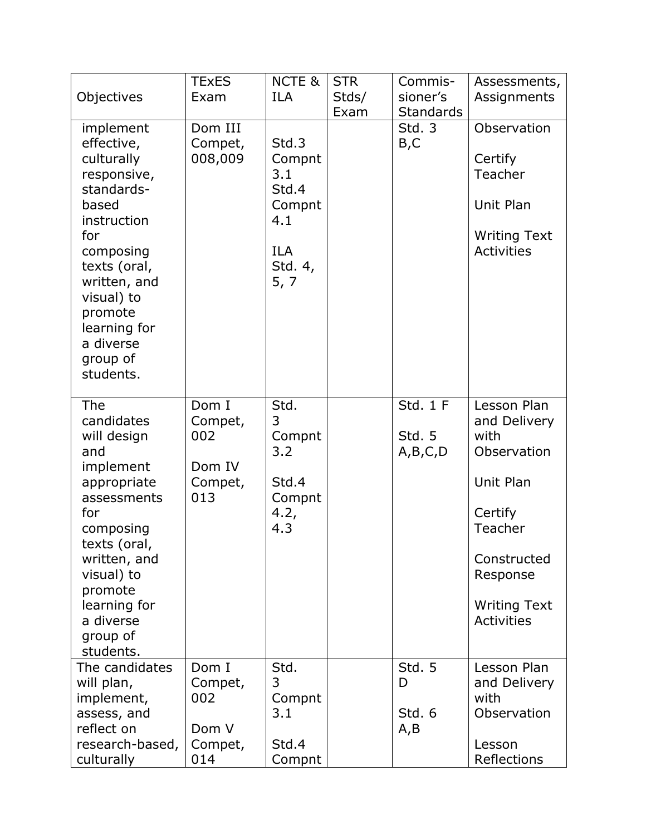| Objectives                                                                                                                                                                                                                    | <b>TExES</b><br>Exam                                | NCTE &<br><b>ILA</b>                                                              | <b>STR</b><br>Stds/<br>Exam | Commis-<br>sioner's<br><b>Standards</b> | Assessments,<br>Assignments                                                                                                                                  |
|-------------------------------------------------------------------------------------------------------------------------------------------------------------------------------------------------------------------------------|-----------------------------------------------------|-----------------------------------------------------------------------------------|-----------------------------|-----------------------------------------|--------------------------------------------------------------------------------------------------------------------------------------------------------------|
| implement<br>effective,<br>culturally<br>responsive,<br>standards-<br>based<br>instruction<br>for<br>composing<br>texts (oral,<br>written, and<br>visual) to<br>promote<br>learning for<br>a diverse<br>group of<br>students. | Dom III<br>Compet,<br>008,009                       | Std.3<br>Compnt<br>3.1<br>Std.4<br>Compnt<br>4.1<br><b>ILA</b><br>Std. 4,<br>5, 7 |                             | <b>Std. 3</b><br>B,C                    | Observation<br>Certify<br>Teacher<br>Unit Plan<br><b>Writing Text</b><br><b>Activities</b>                                                                   |
| <b>The</b><br>candidates<br>will design<br>and<br>implement<br>appropriate<br>assessments<br>for<br>composing<br>texts (oral,<br>written, and<br>visual) to<br>promote<br>learning for<br>a diverse<br>group of<br>students.  | Dom I<br>Compet,<br>002<br>Dom IV<br>Compet,<br>013 | Std.<br>3<br>Compnt<br>3.2<br>Std.4<br>Compnt<br>4.2,<br>4.3                      |                             | Std. $1 F$<br>Std. 5<br>A,B,C,D         | Lesson Plan<br>and Delivery<br>with<br>Observation<br>Unit Plan<br>Certify<br>Teacher<br>Constructed<br>Response<br><b>Writing Text</b><br><b>Activities</b> |
| The candidates<br>will plan,<br>implement,<br>assess, and<br>reflect on<br>research-based,<br>culturally                                                                                                                      | Dom I<br>Compet,<br>002<br>Dom V<br>Compet,<br>014  | Std.<br>3<br>Compnt<br>3.1<br>Std.4<br>Compnt                                     |                             | Std. 5<br>D<br>Std. 6<br>A,B            | Lesson Plan<br>and Delivery<br>with<br>Observation<br>Lesson<br>Reflections                                                                                  |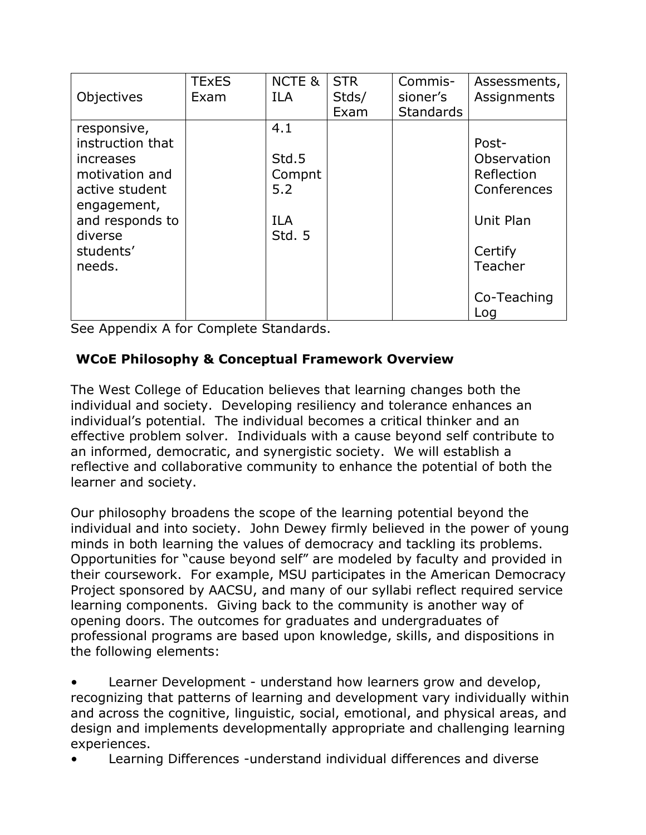| Objectives                                                                       | <b>TExES</b><br>Exam | <b>NCTE &amp;</b><br><b>ILA</b> | <b>STR</b><br>Stds/<br>Exam | Commis-<br>sioner's<br><b>Standards</b> | Assessments,<br>Assignments                       |
|----------------------------------------------------------------------------------|----------------------|---------------------------------|-----------------------------|-----------------------------------------|---------------------------------------------------|
| responsive,<br>instruction that<br>increases<br>motivation and<br>active student |                      | 4.1<br>Std.5<br>Compnt<br>5.2   |                             |                                         | Post-<br>Observation<br>Reflection<br>Conferences |
| engagement,<br>and responds to<br>diverse                                        |                      | <b>ILA</b><br>Std. 5            |                             |                                         | Unit Plan                                         |
| students'<br>needs.                                                              |                      |                                 |                             |                                         | Certify<br>Teacher                                |
|                                                                                  |                      |                                 |                             |                                         | Co-Teaching<br>Log                                |

See Appendix A for Complete Standards.

# **WCoE Philosophy & Conceptual Framework Overview**

The West College of Education believes that learning changes both the individual and society. Developing resiliency and tolerance enhances an individual's potential. The individual becomes a critical thinker and an effective problem solver. Individuals with a cause beyond self contribute to an informed, democratic, and synergistic society. We will establish a reflective and collaborative community to enhance the potential of both the learner and society.

Our philosophy broadens the scope of the learning potential beyond the individual and into society. John Dewey firmly believed in the power of young minds in both learning the values of democracy and tackling its problems. Opportunities for "cause beyond self" are modeled by faculty and provided in their coursework. For example, MSU participates in the American Democracy Project sponsored by AACSU, and many of our syllabi reflect required service learning components. Giving back to the community is another way of opening doors. The outcomes for graduates and undergraduates of professional programs are based upon knowledge, skills, and dispositions in the following elements:

• Learner Development - understand how learners grow and develop, recognizing that patterns of learning and development vary individually within and across the cognitive, linguistic, social, emotional, and physical areas, and design and implements developmentally appropriate and challenging learning experiences.

• Learning Differences -understand individual differences and diverse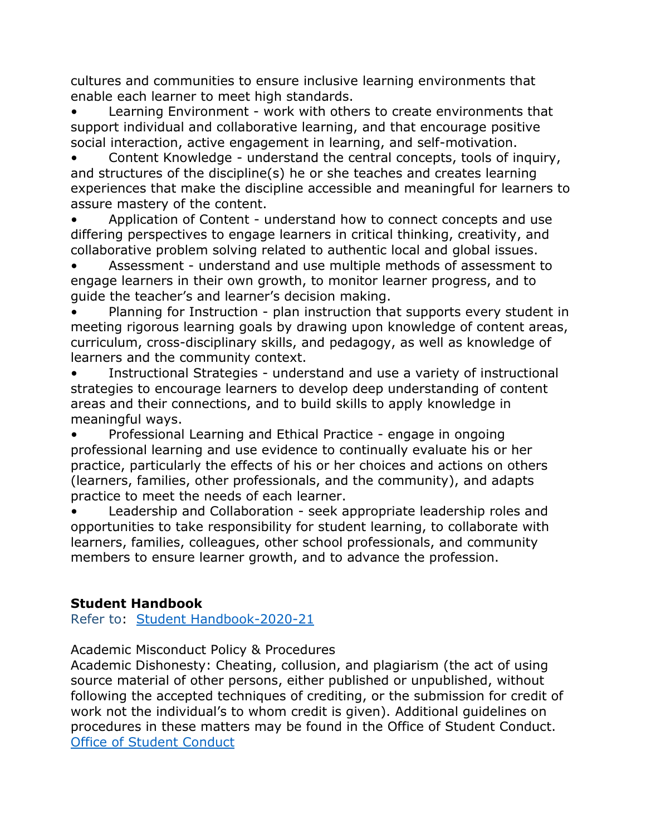cultures and communities to ensure inclusive learning environments that enable each learner to meet high standards.

• Learning Environment - work with others to create environments that support individual and collaborative learning, and that encourage positive social interaction, active engagement in learning, and self-motivation.

• Content Knowledge - understand the central concepts, tools of inquiry, and structures of the discipline(s) he or she teaches and creates learning experiences that make the discipline accessible and meaningful for learners to assure mastery of the content.

• Application of Content - understand how to connect concepts and use differing perspectives to engage learners in critical thinking, creativity, and collaborative problem solving related to authentic local and global issues.

• Assessment - understand and use multiple methods of assessment to engage learners in their own growth, to monitor learner progress, and to guide the teacher's and learner's decision making.

• Planning for Instruction - plan instruction that supports every student in meeting rigorous learning goals by drawing upon knowledge of content areas, curriculum, cross-disciplinary skills, and pedagogy, as well as knowledge of learners and the community context.

Instructional Strategies - understand and use a variety of instructional strategies to encourage learners to develop deep understanding of content areas and their connections, and to build skills to apply knowledge in meaningful ways.

• Professional Learning and Ethical Practice - engage in ongoing professional learning and use evidence to continually evaluate his or her practice, particularly the effects of his or her choices and actions on others (learners, families, other professionals, and the community), and adapts practice to meet the needs of each learner.

• Leadership and Collaboration - seek appropriate leadership roles and opportunities to take responsibility for student learning, to collaborate with learners, families, colleagues, other school professionals, and community members to ensure learner growth, and to advance the profession.

## **Student Handbook**

Refer to: [Student Handbook-2020-21](https://msutexas.edu/student-life/_assets/files/handbook.pdf)

Academic Misconduct Policy & Procedures

Academic Dishonesty: Cheating, collusion, and plagiarism (the act of using source material of other persons, either published or unpublished, without following the accepted techniques of crediting, or the submission for credit of work not the individual's to whom credit is given). Additional guidelines on procedures in these matters may be found in the Office of Student Conduct. [Office of Student Conduct](https://msutexas.edu/student-life/conduct/)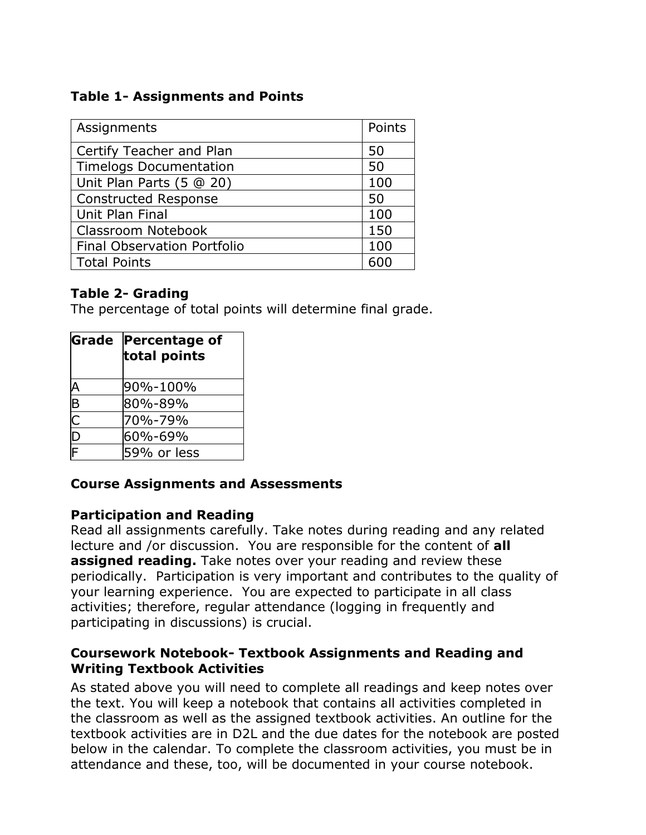# **Table 1- Assignments and Points**

| Assignments                   |     |  |
|-------------------------------|-----|--|
| Certify Teacher and Plan      | 50  |  |
| <b>Timelogs Documentation</b> | 50  |  |
| Unit Plan Parts (5 @ 20)      | 100 |  |
| <b>Constructed Response</b>   | 50  |  |
| Unit Plan Final               | 100 |  |
| Classroom Notebook            | 150 |  |
| Final Observation Portfolio   | 100 |  |
| <b>Total Points</b>           |     |  |

# **Table 2- Grading**

The percentage of total points will determine final grade.

| Grade                           | <b>Percentage of</b><br>total points |
|---------------------------------|--------------------------------------|
|                                 | l90%-100%                            |
| $\frac{\mathsf{A}}{\mathsf{B}}$ | 80%-89%                              |
| $\frac{C}{F}$                   | 70%-79%                              |
|                                 | l60%-69%                             |
|                                 | 59% or less                          |

## **Course Assignments and Assessments**

## **Participation and Reading**

Read all assignments carefully. Take notes during reading and any related lecture and /or discussion. You are responsible for the content of **all assigned reading.** Take notes over your reading and review these periodically. Participation is very important and contributes to the quality of your learning experience. You are expected to participate in all class activities; therefore, regular attendance (logging in frequently and participating in discussions) is crucial.

### **Coursework Notebook- Textbook Assignments and Reading and Writing Textbook Activities**

As stated above you will need to complete all readings and keep notes over the text. You will keep a notebook that contains all activities completed in the classroom as well as the assigned textbook activities. An outline for the textbook activities are in D2L and the due dates for the notebook are posted below in the calendar. To complete the classroom activities, you must be in attendance and these, too, will be documented in your course notebook.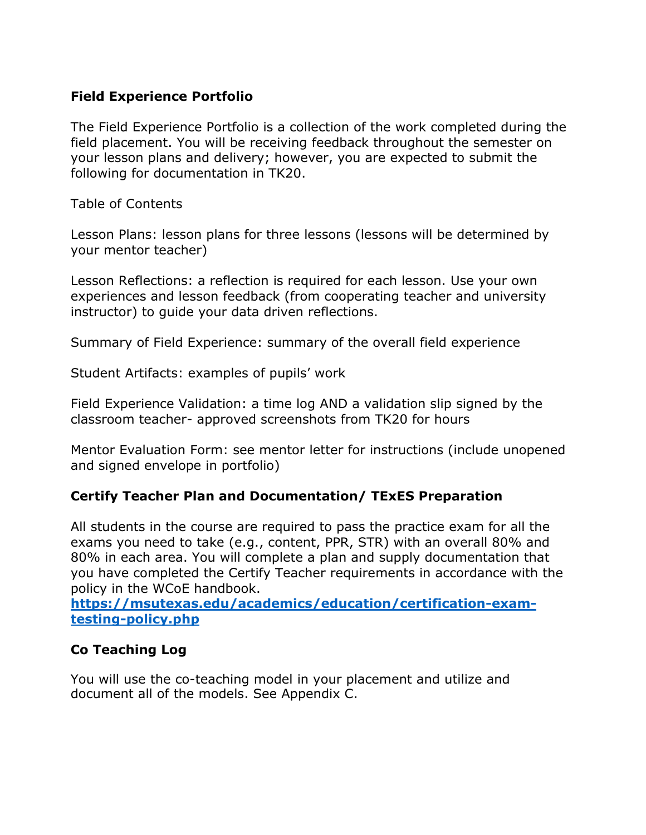### **Field Experience Portfolio**

The Field Experience Portfolio is a collection of the work completed during the field placement. You will be receiving feedback throughout the semester on your lesson plans and delivery; however, you are expected to submit the following for documentation in TK20.

Table of Contents

Lesson Plans: lesson plans for three lessons (lessons will be determined by your mentor teacher)

Lesson Reflections: a reflection is required for each lesson. Use your own experiences and lesson feedback (from cooperating teacher and university instructor) to guide your data driven reflections.

Summary of Field Experience: summary of the overall field experience

Student Artifacts: examples of pupils' work

Field Experience Validation: a time log AND a validation slip signed by the classroom teacher- approved screenshots from TK20 for hours

Mentor Evaluation Form: see mentor letter for instructions (include unopened and signed envelope in portfolio)

## **Certify Teacher Plan and Documentation/ TExES Preparation**

All students in the course are required to pass the practice exam for all the exams you need to take (e.g., content, PPR, STR) with an overall 80% and 80% in each area. You will complete a plan and supply documentation that you have completed the Certify Teacher requirements in accordance with the policy in the WCoE handbook.

**[https://msutexas.edu/academics/education/certification-exam](https://msutexas.edu/academics/education/certification-exam-testing-policy.php)[testing-policy.php](https://msutexas.edu/academics/education/certification-exam-testing-policy.php)**

## **Co Teaching Log**

You will use the co-teaching model in your placement and utilize and document all of the models. See Appendix C.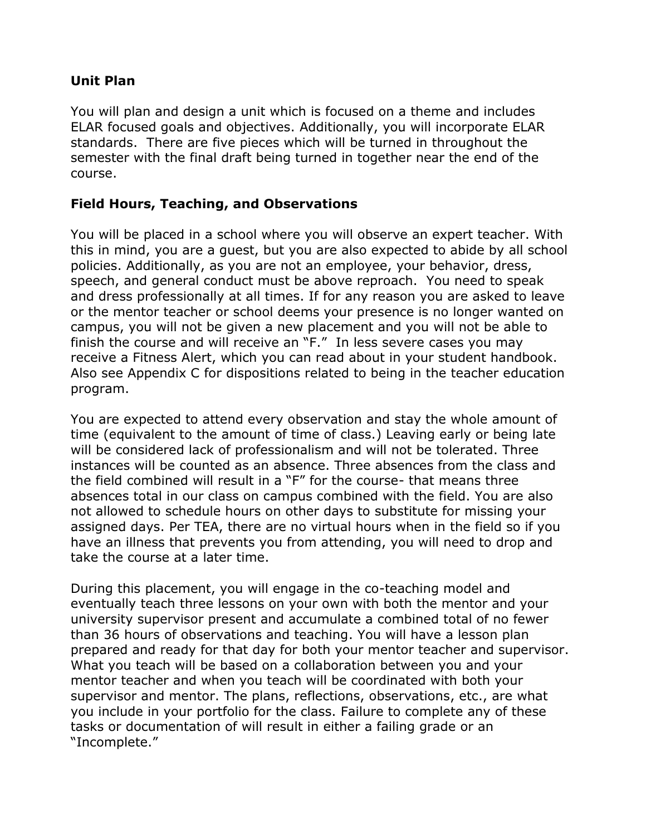## **Unit Plan**

You will plan and design a unit which is focused on a theme and includes ELAR focused goals and objectives. Additionally, you will incorporate ELAR standards. There are five pieces which will be turned in throughout the semester with the final draft being turned in together near the end of the course.

## **Field Hours, Teaching, and Observations**

You will be placed in a school where you will observe an expert teacher. With this in mind, you are a guest, but you are also expected to abide by all school policies. Additionally, as you are not an employee, your behavior, dress, speech, and general conduct must be above reproach. You need to speak and dress professionally at all times. If for any reason you are asked to leave or the mentor teacher or school deems your presence is no longer wanted on campus, you will not be given a new placement and you will not be able to finish the course and will receive an "F." In less severe cases you may receive a Fitness Alert, which you can read about in your student handbook. Also see Appendix C for dispositions related to being in the teacher education program.

You are expected to attend every observation and stay the whole amount of time (equivalent to the amount of time of class.) Leaving early or being late will be considered lack of professionalism and will not be tolerated. Three instances will be counted as an absence. Three absences from the class and the field combined will result in a "F" for the course- that means three absences total in our class on campus combined with the field. You are also not allowed to schedule hours on other days to substitute for missing your assigned days. Per TEA, there are no virtual hours when in the field so if you have an illness that prevents you from attending, you will need to drop and take the course at a later time.

During this placement, you will engage in the co-teaching model and eventually teach three lessons on your own with both the mentor and your university supervisor present and accumulate a combined total of no fewer than 36 hours of observations and teaching. You will have a lesson plan prepared and ready for that day for both your mentor teacher and supervisor. What you teach will be based on a collaboration between you and your mentor teacher and when you teach will be coordinated with both your supervisor and mentor. The plans, reflections, observations, etc., are what you include in your portfolio for the class. Failure to complete any of these tasks or documentation of will result in either a failing grade or an "Incomplete."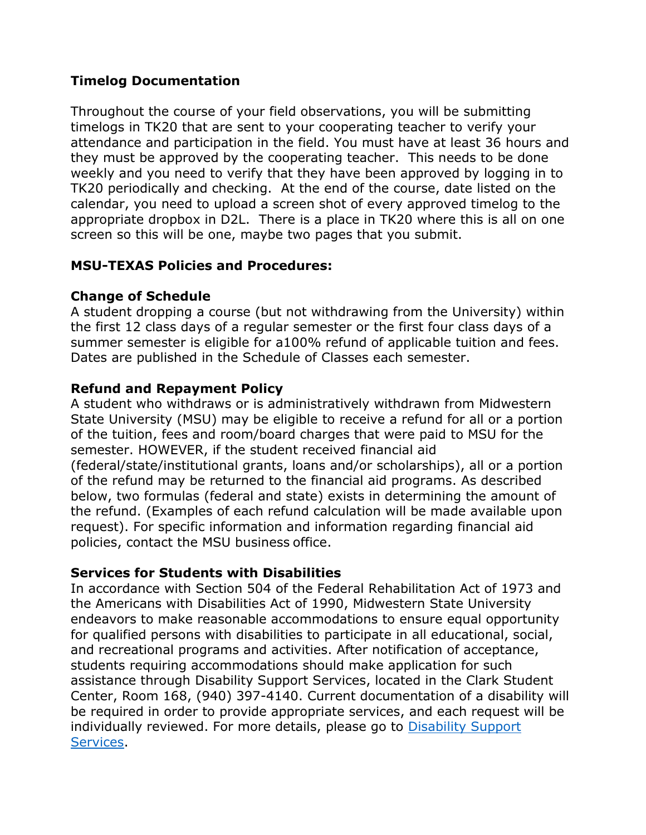## **Timelog Documentation**

Throughout the course of your field observations, you will be submitting timelogs in TK20 that are sent to your cooperating teacher to verify your attendance and participation in the field. You must have at least 36 hours and they must be approved by the cooperating teacher. This needs to be done weekly and you need to verify that they have been approved by logging in to TK20 periodically and checking. At the end of the course, date listed on the calendar, you need to upload a screen shot of every approved timelog to the appropriate dropbox in D2L. There is a place in TK20 where this is all on one screen so this will be one, maybe two pages that you submit.

## **MSU-TEXAS Policies and Procedures:**

### **Change of Schedule**

A student dropping a course (but not withdrawing from the University) within the first 12 class days of a regular semester or the first four class days of a summer semester is eligible for a100% refund of applicable tuition and fees. Dates are published in the Schedule of Classes each semester.

## **Refund and Repayment Policy**

A student who withdraws or is administratively withdrawn from Midwestern State University (MSU) may be eligible to receive a refund for all or a portion of the tuition, fees and room/board charges that were paid to MSU for the semester. HOWEVER, if the student received financial aid (federal/state/institutional grants, loans and/or scholarships), all or a portion of the refund may be returned to the financial aid programs. As described below, two formulas (federal and state) exists in determining the amount of the refund. (Examples of each refund calculation will be made available upon request). For specific information and information regarding financial aid policies, contact the MSU business office.

## **Services for Students with Disabilities**

In accordance with Section 504 of the Federal Rehabilitation Act of 1973 and the Americans with Disabilities Act of 1990, Midwestern State University endeavors to make reasonable accommodations to ensure equal opportunity for qualified persons with disabilities to participate in all educational, social, and recreational programs and activities. After notification of acceptance, students requiring accommodations should make application for such assistance through Disability Support Services, located in the Clark Student Center, Room 168, (940) 397-4140. Current documentation of a disability will be required in order to provide appropriate services, and each request will be individually reviewed. For more details, please go to [Disability Support](http://www.mwsu.edu/student-life/disability)  [Services.](http://www.mwsu.edu/student-life/disability)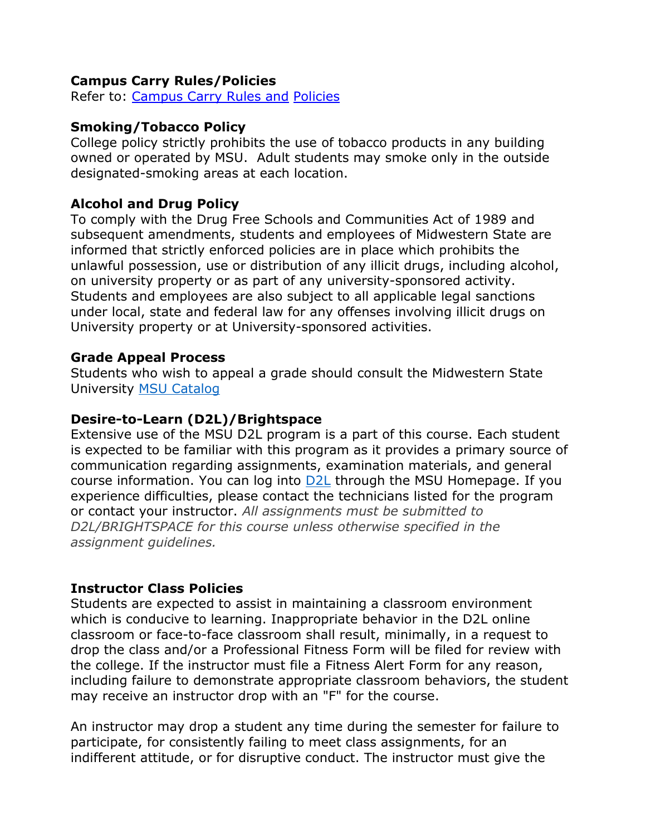## **Campus Carry Rules/Policies**

Refer to: [Campus Carry Rules and](https://msutexas.edu/campus-carry/) [Policies](https://msutexas.edu/campus-carry/)

#### **Smoking/Tobacco Policy**

College policy strictly prohibits the use of tobacco products in any building owned or operated by MSU. Adult students may smoke only in the outside designated-smoking areas at each location.

### **Alcohol and Drug Policy**

To comply with the Drug Free Schools and Communities Act of 1989 and subsequent amendments, students and employees of Midwestern State are informed that strictly enforced policies are in place which prohibits the unlawful possession, use or distribution of any illicit drugs, including alcohol, on university property or as part of any university-sponsored activity. Students and employees are also subject to all applicable legal sanctions under local, state and federal law for any offenses involving illicit drugs on University property or at University-sponsored activities.

### **Grade Appeal Process**

Students who wish to appeal a grade should consult the Midwestern State University [MSU Catalog](https://msutexas.edu/registrar/catalog/)

#### **Desire-to-Learn (D2L)/Brightspace**

Extensive use of the MSU D2L program is a part of this course. Each student is expected to be familiar with this program as it provides a primary source of communication regarding assignments, examination materials, and general course information. You can log into [D2L](https://d2l.mwsu.edu/) through the MSU Homepage. If you experience difficulties, please contact the technicians listed for the program or contact your instructor. *All assignments must be submitted to D2L/BRIGHTSPACE for this course unless otherwise specified in the assignment guidelines.*

### **Instructor Class Policies**

Students are expected to assist in maintaining a classroom environment which is conducive to learning. Inappropriate behavior in the D2L online classroom or face-to-face classroom shall result, minimally, in a request to drop the class and/or a Professional Fitness Form will be filed for review with the college. If the instructor must file a Fitness Alert Form for any reason, including failure to demonstrate appropriate classroom behaviors, the student may receive an instructor drop with an "F" for the course.

An instructor may drop a student any time during the semester for failure to participate, for consistently failing to meet class assignments, for an indifferent attitude, or for disruptive conduct. The instructor must give the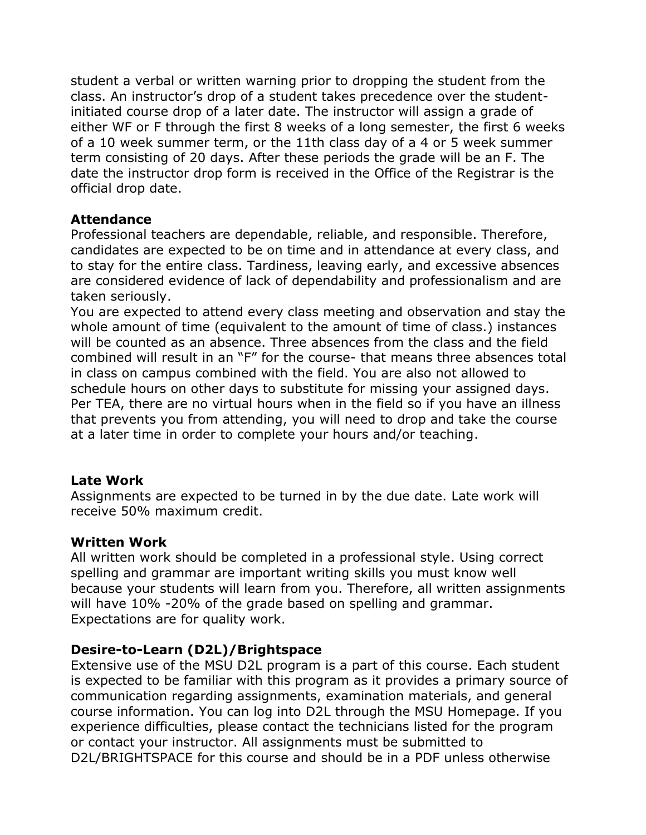student a verbal or written warning prior to dropping the student from the class. An instructor's drop of a student takes precedence over the studentinitiated course drop of a later date. The instructor will assign a grade of either WF or F through the first 8 weeks of a long semester, the first 6 weeks of a 10 week summer term, or the 11th class day of a 4 or 5 week summer term consisting of 20 days. After these periods the grade will be an F. The date the instructor drop form is received in the Office of the Registrar is the official drop date.

### **Attendance**

Professional teachers are dependable, reliable, and responsible. Therefore, candidates are expected to be on time and in attendance at every class, and to stay for the entire class. Tardiness, leaving early, and excessive absences are considered evidence of lack of dependability and professionalism and are taken seriously.

You are expected to attend every class meeting and observation and stay the whole amount of time (equivalent to the amount of time of class.) instances will be counted as an absence. Three absences from the class and the field combined will result in an "F" for the course- that means three absences total in class on campus combined with the field. You are also not allowed to schedule hours on other days to substitute for missing your assigned days. Per TEA, there are no virtual hours when in the field so if you have an illness that prevents you from attending, you will need to drop and take the course at a later time in order to complete your hours and/or teaching.

### **Late Work**

Assignments are expected to be turned in by the due date. Late work will receive 50% maximum credit.

### **Written Work**

All written work should be completed in a professional style. Using correct spelling and grammar are important writing skills you must know well because your students will learn from you. Therefore, all written assignments will have 10% -20% of the grade based on spelling and grammar. Expectations are for quality work.

## **Desire-to-Learn (D2L)/Brightspace**

Extensive use of the MSU D2L program is a part of this course. Each student is expected to be familiar with this program as it provides a primary source of communication regarding assignments, examination materials, and general course information. You can log into [D2L](https://d2l.msutexas.edu/d2l/login) through the MSU Homepage. If you experience difficulties, please contact the technicians listed for the program or contact your instructor. All assignments must be submitted to D2L/BRIGHTSPACE for this course and should be in a PDF unless otherwise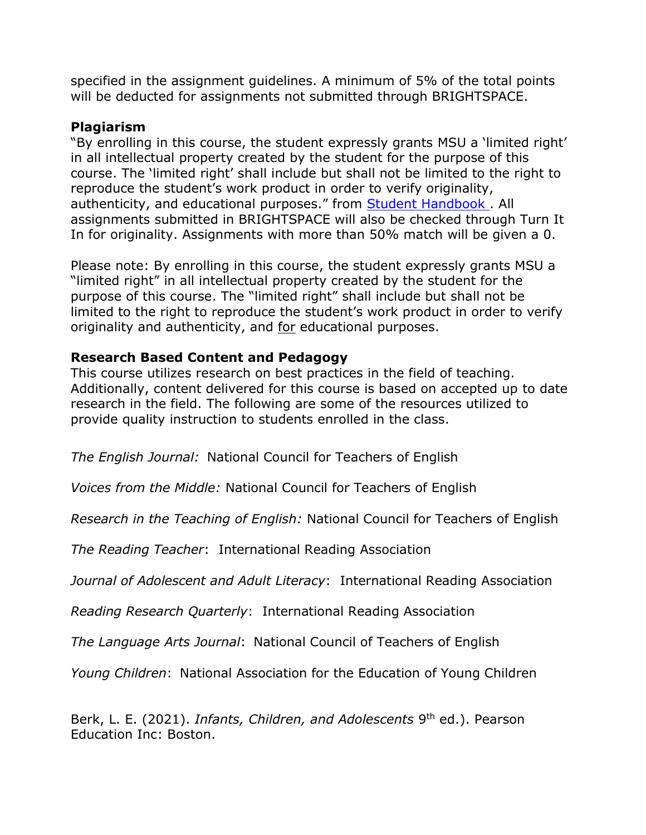specified in the assignment guidelines. A minimum of 5% of the total points will be deducted for assignments not submitted through BRIGHTSPACE.

### **Plagiarism**

"By enrolling in this course, the student expressly grants MSU a 'limited right' in all intellectual property created by the student for the purpose of this course. The 'limited right' shall include but shall not be limited to the right to reproduce the student's work product in order to verify originality, authenticity, and educational purposes." from Student Handbook. All assignments submitted in BRIGHTSPACE will also be checked through Turn It In for originality. Assignments with more than 50% match will be given a 0.

Please note: By enrolling in this course, the student expressly grants MSU a "limited right" in all intellectual property created by the student for the purpose of this course. The "limited right" shall include but shall not be limited to the right to reproduce the student's work product in order to verify originality and authenticity, and for educational purposes.

### **Research Based Content and Pedagogy**

This course utilizes research on best practices in the field of teaching. Additionally, content delivered for this course is based on accepted up to date research in the field. The following are some of the resources utilized to provide quality instruction to students enrolled in the class.

*The English Journal:* National Council for Teachers of English

*Voices from the Middle:* National Council for Teachers of English

*Research in the Teaching of English:* National Council for Teachers of English

*The Reading Teacher*: International Reading Association

*Journal of Adolescent and Adult Literacy*: International Reading Association

*Reading Research Quarterly*: International Reading Association

*The Language Arts Journal*: National Council of Teachers of English

*Young Children*: National Association for the Education of Young Children

Berk, L. E. (2021). *Infants, Children, and Adolescents* 9<sup>th</sup> ed.). Pearson Education Inc: Boston.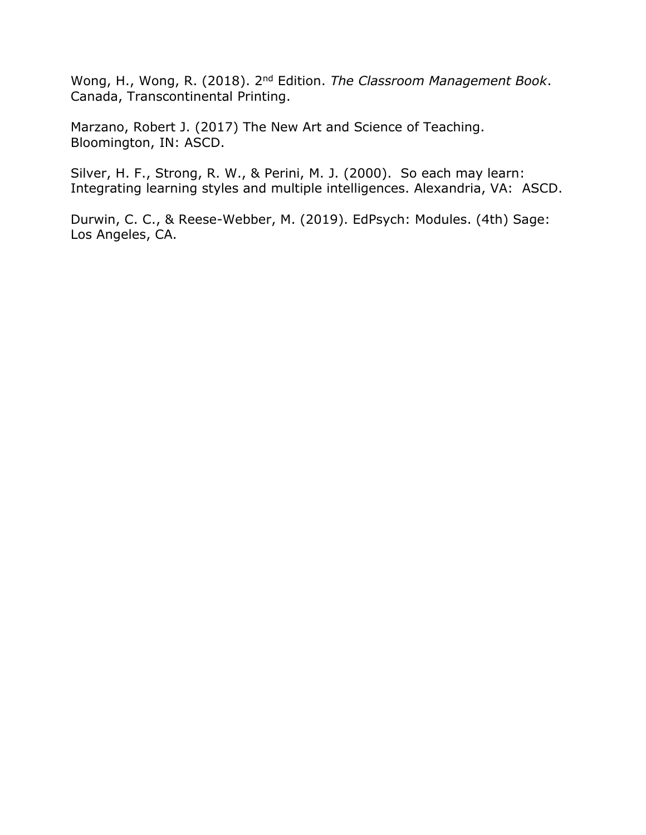Wong, H., Wong, R. (2018). 2nd Edition. *The Classroom Management Book*. Canada, Transcontinental Printing.

Marzano, Robert J. (2017) The New Art and Science of Teaching. Bloomington, IN: ASCD.

Silver, H. F., Strong, R. W., & Perini, M. J. (2000). So each may learn: Integrating learning styles and multiple intelligences. Alexandria, VA: ASCD.

Durwin, C. C., & Reese-Webber, M. (2019). EdPsych: Modules. (4th) Sage: Los Angeles, CA.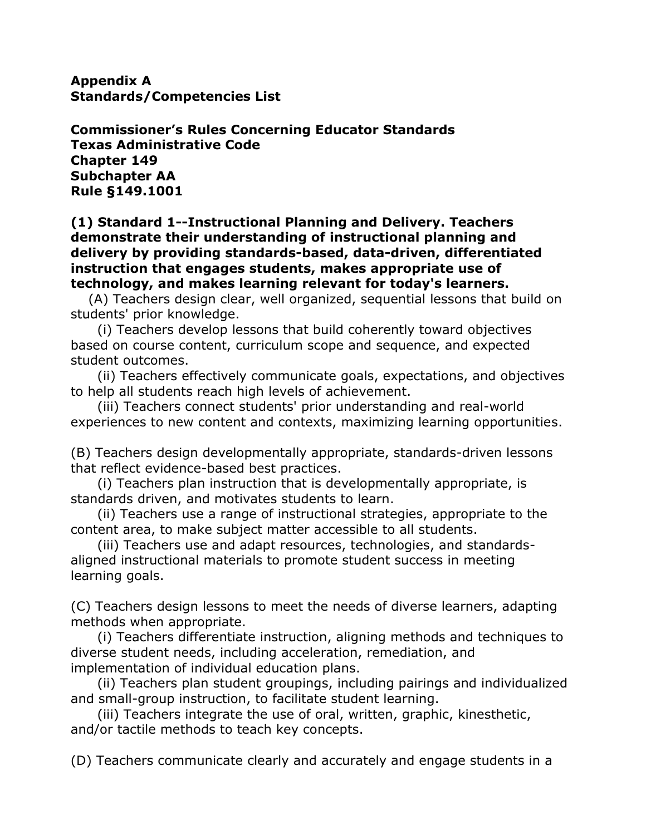**Appendix A Standards/Competencies List**

**Commissioner's Rules Concerning Educator Standards Texas Administrative Code Chapter 149 Subchapter AA Rule §149.1001**

#### **(1) Standard 1--Instructional Planning and Delivery. Teachers demonstrate their understanding of instructional planning and delivery by providing standards-based, data-driven, differentiated instruction that engages students, makes appropriate use of technology, and makes learning relevant for today's learners.**

 (A) Teachers design clear, well organized, sequential lessons that build on students' prior knowledge.

 (i) Teachers develop lessons that build coherently toward objectives based on course content, curriculum scope and sequence, and expected student outcomes.

 (ii) Teachers effectively communicate goals, expectations, and objectives to help all students reach high levels of achievement.

 (iii) Teachers connect students' prior understanding and real-world experiences to new content and contexts, maximizing learning opportunities.

(B) Teachers design developmentally appropriate, standards-driven lessons that reflect evidence-based best practices.

 (i) Teachers plan instruction that is developmentally appropriate, is standards driven, and motivates students to learn.

 (ii) Teachers use a range of instructional strategies, appropriate to the content area, to make subject matter accessible to all students.

 (iii) Teachers use and adapt resources, technologies, and standardsaligned instructional materials to promote student success in meeting learning goals.

(C) Teachers design lessons to meet the needs of diverse learners, adapting methods when appropriate.

 (i) Teachers differentiate instruction, aligning methods and techniques to diverse student needs, including acceleration, remediation, and implementation of individual education plans.

 (ii) Teachers plan student groupings, including pairings and individualized and small-group instruction, to facilitate student learning.

 (iii) Teachers integrate the use of oral, written, graphic, kinesthetic, and/or tactile methods to teach key concepts.

(D) Teachers communicate clearly and accurately and engage students in a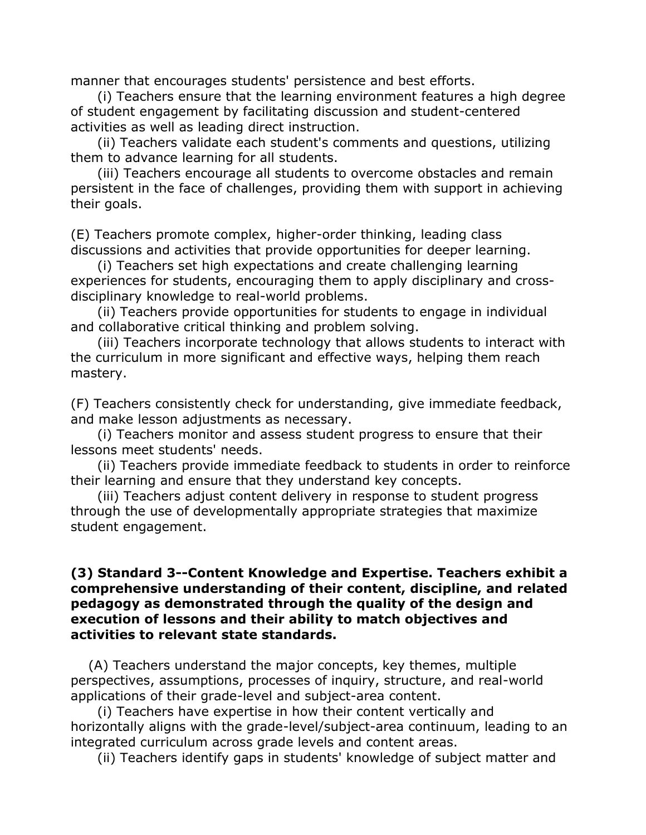manner that encourages students' persistence and best efforts.

 (i) Teachers ensure that the learning environment features a high degree of student engagement by facilitating discussion and student-centered activities as well as leading direct instruction.

 (ii) Teachers validate each student's comments and questions, utilizing them to advance learning for all students.

 (iii) Teachers encourage all students to overcome obstacles and remain persistent in the face of challenges, providing them with support in achieving their goals.

(E) Teachers promote complex, higher-order thinking, leading class discussions and activities that provide opportunities for deeper learning.

 (i) Teachers set high expectations and create challenging learning experiences for students, encouraging them to apply disciplinary and crossdisciplinary knowledge to real-world problems.

 (ii) Teachers provide opportunities for students to engage in individual and collaborative critical thinking and problem solving.

 (iii) Teachers incorporate technology that allows students to interact with the curriculum in more significant and effective ways, helping them reach mastery.

(F) Teachers consistently check for understanding, give immediate feedback, and make lesson adjustments as necessary.

 (i) Teachers monitor and assess student progress to ensure that their lessons meet students' needs.

 (ii) Teachers provide immediate feedback to students in order to reinforce their learning and ensure that they understand key concepts.

 (iii) Teachers adjust content delivery in response to student progress through the use of developmentally appropriate strategies that maximize student engagement.

#### **(3) Standard 3--Content Knowledge and Expertise. Teachers exhibit a comprehensive understanding of their content, discipline, and related pedagogy as demonstrated through the quality of the design and execution of lessons and their ability to match objectives and activities to relevant state standards.**

 (A) Teachers understand the major concepts, key themes, multiple perspectives, assumptions, processes of inquiry, structure, and real-world applications of their grade-level and subject-area content.

 (i) Teachers have expertise in how their content vertically and horizontally aligns with the grade-level/subject-area continuum, leading to an integrated curriculum across grade levels and content areas.

(ii) Teachers identify gaps in students' knowledge of subject matter and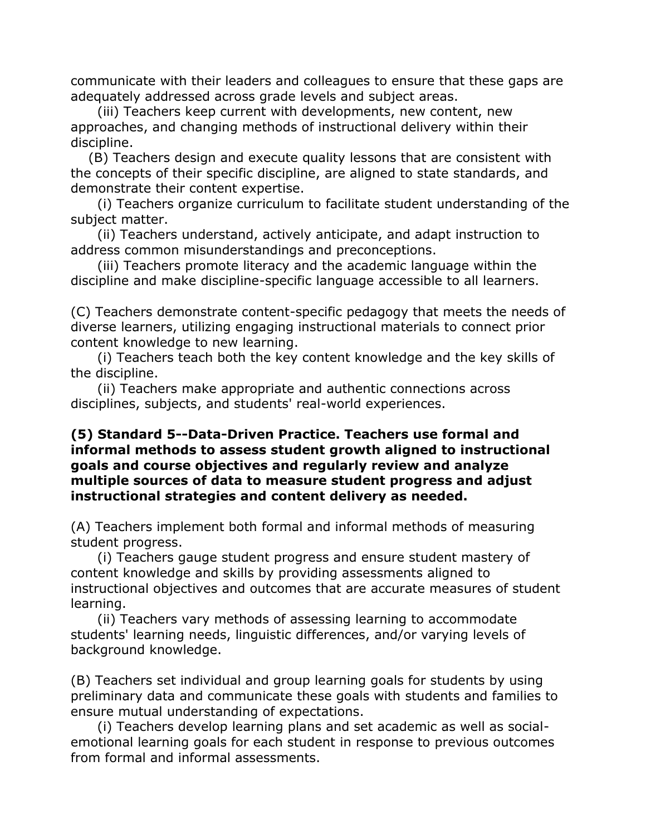communicate with their leaders and colleagues to ensure that these gaps are adequately addressed across grade levels and subject areas.

 (iii) Teachers keep current with developments, new content, new approaches, and changing methods of instructional delivery within their discipline.

 (B) Teachers design and execute quality lessons that are consistent with the concepts of their specific discipline, are aligned to state standards, and demonstrate their content expertise.

 (i) Teachers organize curriculum to facilitate student understanding of the subject matter.

 (ii) Teachers understand, actively anticipate, and adapt instruction to address common misunderstandings and preconceptions.

 (iii) Teachers promote literacy and the academic language within the discipline and make discipline-specific language accessible to all learners.

(C) Teachers demonstrate content-specific pedagogy that meets the needs of diverse learners, utilizing engaging instructional materials to connect prior content knowledge to new learning.

 (i) Teachers teach both the key content knowledge and the key skills of the discipline.

 (ii) Teachers make appropriate and authentic connections across disciplines, subjects, and students' real-world experiences.

### **(5) Standard 5--Data-Driven Practice. Teachers use formal and informal methods to assess student growth aligned to instructional goals and course objectives and regularly review and analyze multiple sources of data to measure student progress and adjust instructional strategies and content delivery as needed.**

(A) Teachers implement both formal and informal methods of measuring student progress.

 (i) Teachers gauge student progress and ensure student mastery of content knowledge and skills by providing assessments aligned to instructional objectives and outcomes that are accurate measures of student learning.

 (ii) Teachers vary methods of assessing learning to accommodate students' learning needs, linguistic differences, and/or varying levels of background knowledge.

(B) Teachers set individual and group learning goals for students by using preliminary data and communicate these goals with students and families to ensure mutual understanding of expectations.

 (i) Teachers develop learning plans and set academic as well as socialemotional learning goals for each student in response to previous outcomes from formal and informal assessments.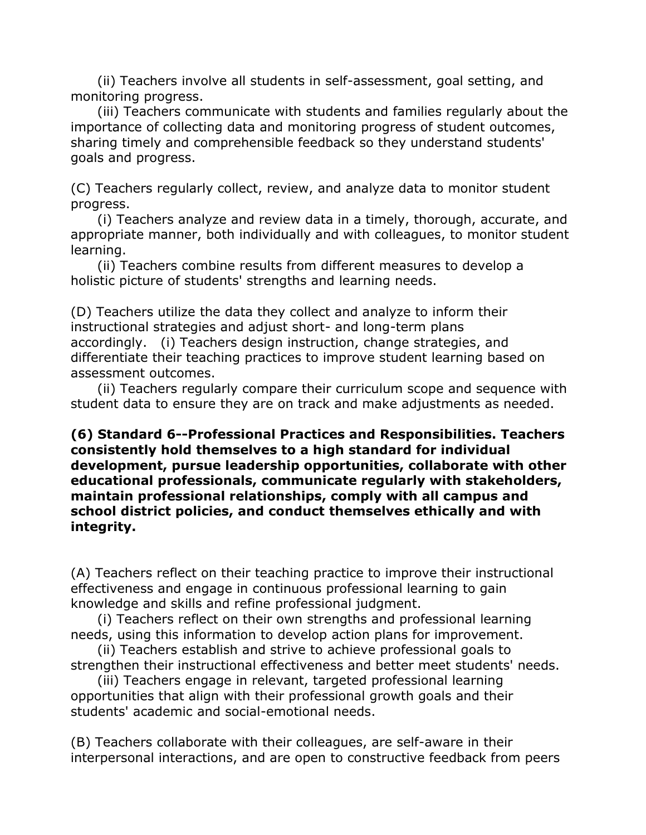(ii) Teachers involve all students in self-assessment, goal setting, and monitoring progress.

 (iii) Teachers communicate with students and families regularly about the importance of collecting data and monitoring progress of student outcomes, sharing timely and comprehensible feedback so they understand students' goals and progress.

(C) Teachers regularly collect, review, and analyze data to monitor student progress.

 (i) Teachers analyze and review data in a timely, thorough, accurate, and appropriate manner, both individually and with colleagues, to monitor student learning.

 (ii) Teachers combine results from different measures to develop a holistic picture of students' strengths and learning needs.

(D) Teachers utilize the data they collect and analyze to inform their instructional strategies and adjust short- and long-term plans accordingly. (i) Teachers design instruction, change strategies, and differentiate their teaching practices to improve student learning based on assessment outcomes.

 (ii) Teachers regularly compare their curriculum scope and sequence with student data to ensure they are on track and make adjustments as needed.

**(6) Standard 6--Professional Practices and Responsibilities. Teachers consistently hold themselves to a high standard for individual development, pursue leadership opportunities, collaborate with other educational professionals, communicate regularly with stakeholders, maintain professional relationships, comply with all campus and school district policies, and conduct themselves ethically and with integrity.**

(A) Teachers reflect on their teaching practice to improve their instructional effectiveness and engage in continuous professional learning to gain knowledge and skills and refine professional judgment.

 (i) Teachers reflect on their own strengths and professional learning needs, using this information to develop action plans for improvement.

 (ii) Teachers establish and strive to achieve professional goals to strengthen their instructional effectiveness and better meet students' needs.

 (iii) Teachers engage in relevant, targeted professional learning opportunities that align with their professional growth goals and their students' academic and social-emotional needs.

(B) Teachers collaborate with their colleagues, are self-aware in their interpersonal interactions, and are open to constructive feedback from peers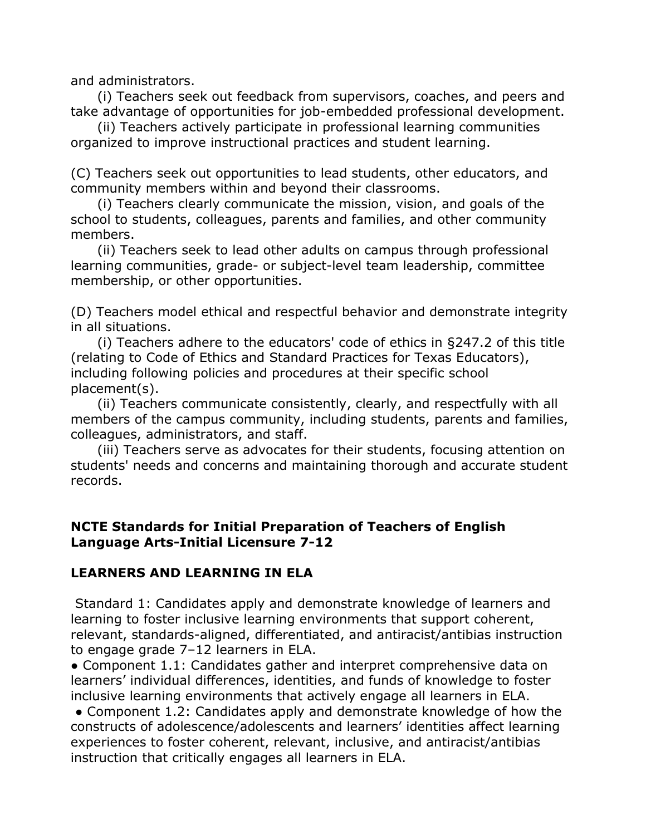and administrators.

 (i) Teachers seek out feedback from supervisors, coaches, and peers and take advantage of opportunities for job-embedded professional development.

 (ii) Teachers actively participate in professional learning communities organized to improve instructional practices and student learning.

(C) Teachers seek out opportunities to lead students, other educators, and community members within and beyond their classrooms.

 (i) Teachers clearly communicate the mission, vision, and goals of the school to students, colleagues, parents and families, and other community members.

 (ii) Teachers seek to lead other adults on campus through professional learning communities, grade- or subject-level team leadership, committee membership, or other opportunities.

(D) Teachers model ethical and respectful behavior and demonstrate integrity in all situations.

 (i) Teachers adhere to the educators' code of ethics in §247.2 of this title (relating to Code of Ethics and Standard Practices for Texas Educators), including following policies and procedures at their specific school placement(s).

 (ii) Teachers communicate consistently, clearly, and respectfully with all members of the campus community, including students, parents and families, colleagues, administrators, and staff.

 (iii) Teachers serve as advocates for their students, focusing attention on students' needs and concerns and maintaining thorough and accurate student records.

## **NCTE Standards for Initial Preparation of Teachers of English Language Arts-Initial Licensure 7-12**

## **LEARNERS AND LEARNING IN ELA**

Standard 1: Candidates apply and demonstrate knowledge of learners and learning to foster inclusive learning environments that support coherent, relevant, standards-aligned, differentiated, and antiracist/antibias instruction to engage grade 7–12 learners in ELA.

● Component 1.1: Candidates gather and interpret comprehensive data on learners' individual differences, identities, and funds of knowledge to foster inclusive learning environments that actively engage all learners in ELA.

• Component 1.2: Candidates apply and demonstrate knowledge of how the constructs of adolescence/adolescents and learners' identities affect learning experiences to foster coherent, relevant, inclusive, and antiracist/antibias instruction that critically engages all learners in ELA.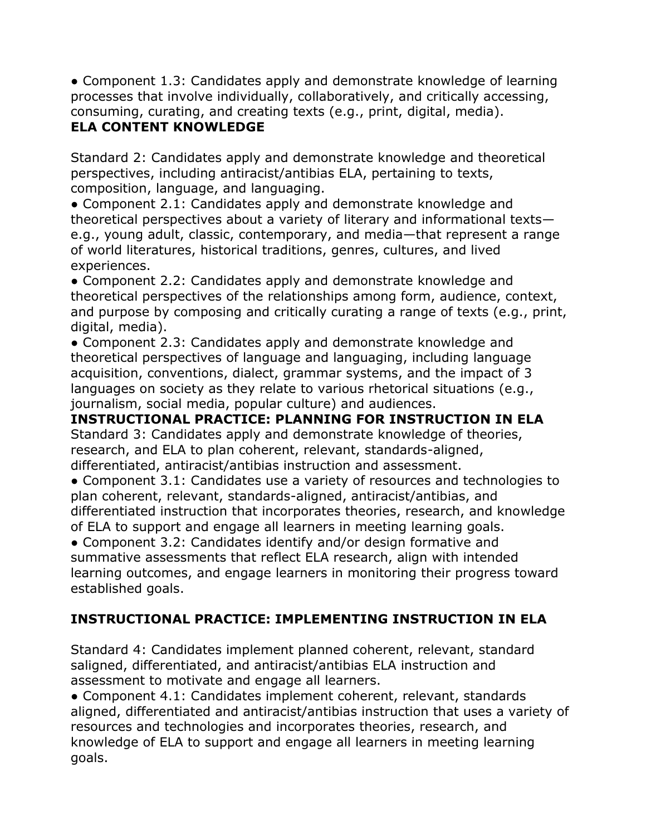● Component 1.3: Candidates apply and demonstrate knowledge of learning processes that involve individually, collaboratively, and critically accessing, consuming, curating, and creating texts (e.g., print, digital, media).

# **ELA CONTENT KNOWLEDGE**

Standard 2: Candidates apply and demonstrate knowledge and theoretical perspectives, including antiracist/antibias ELA, pertaining to texts, composition, language, and languaging.

● Component 2.1: Candidates apply and demonstrate knowledge and theoretical perspectives about a variety of literary and informational texts e.g., young adult, classic, contemporary, and media—that represent a range of world literatures, historical traditions, genres, cultures, and lived experiences.

● Component 2.2: Candidates apply and demonstrate knowledge and theoretical perspectives of the relationships among form, audience, context, and purpose by composing and critically curating a range of texts (e.g., print, digital, media).

● Component 2.3: Candidates apply and demonstrate knowledge and theoretical perspectives of language and languaging, including language acquisition, conventions, dialect, grammar systems, and the impact of 3 languages on society as they relate to various rhetorical situations (e.g., journalism, social media, popular culture) and audiences.

**INSTRUCTIONAL PRACTICE: PLANNING FOR INSTRUCTION IN ELA**  Standard 3: Candidates apply and demonstrate knowledge of theories, research, and ELA to plan coherent, relevant, standards-aligned, differentiated, antiracist/antibias instruction and assessment.

● Component 3.1: Candidates use a variety of resources and technologies to plan coherent, relevant, standards-aligned, antiracist/antibias, and differentiated instruction that incorporates theories, research, and knowledge of ELA to support and engage all learners in meeting learning goals.

● Component 3.2: Candidates identify and/or design formative and summative assessments that reflect ELA research, align with intended learning outcomes, and engage learners in monitoring their progress toward established goals.

# **INSTRUCTIONAL PRACTICE: IMPLEMENTING INSTRUCTION IN ELA**

Standard 4: Candidates implement planned coherent, relevant, standard saligned, differentiated, and antiracist/antibias ELA instruction and assessment to motivate and engage all learners.

● Component 4.1: Candidates implement coherent, relevant, standards aligned, differentiated and antiracist/antibias instruction that uses a variety of resources and technologies and incorporates theories, research, and knowledge of ELA to support and engage all learners in meeting learning goals.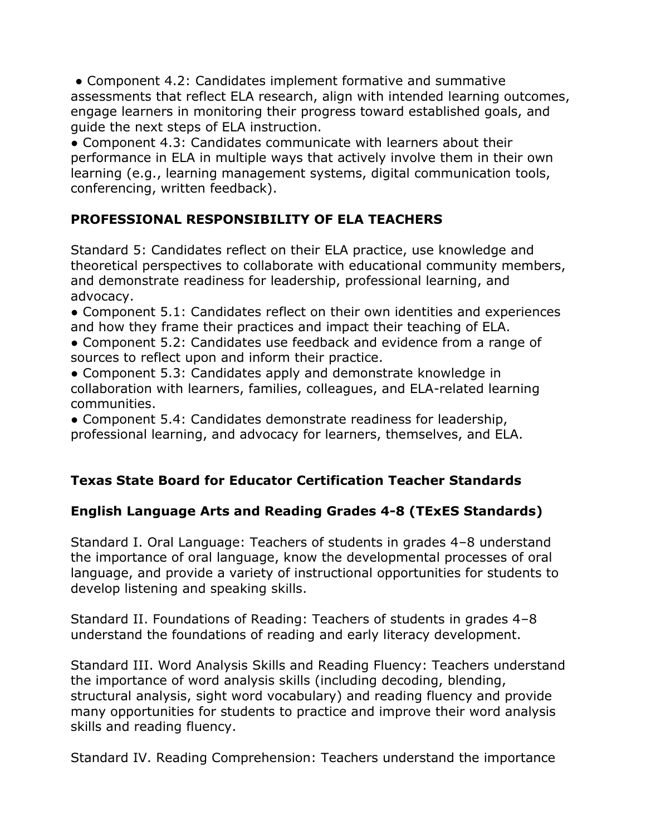● Component 4.2: Candidates implement formative and summative assessments that reflect ELA research, align with intended learning outcomes, engage learners in monitoring their progress toward established goals, and guide the next steps of ELA instruction.

● Component 4.3: Candidates communicate with learners about their performance in ELA in multiple ways that actively involve them in their own learning (e.g., learning management systems, digital communication tools, conferencing, written feedback).

# **PROFESSIONAL RESPONSIBILITY OF ELA TEACHERS**

Standard 5: Candidates reflect on their ELA practice, use knowledge and theoretical perspectives to collaborate with educational community members, and demonstrate readiness for leadership, professional learning, and advocacy.

● Component 5.1: Candidates reflect on their own identities and experiences and how they frame their practices and impact their teaching of ELA.

● Component 5.2: Candidates use feedback and evidence from a range of sources to reflect upon and inform their practice.

● Component 5.3: Candidates apply and demonstrate knowledge in collaboration with learners, families, colleagues, and ELA-related learning communities.

● Component 5.4: Candidates demonstrate readiness for leadership, professional learning, and advocacy for learners, themselves, and ELA.

# **Texas State Board for Educator Certification Teacher Standards**

# **English Language Arts and Reading Grades 4-8 (TExES Standards)**

Standard I. Oral Language: Teachers of students in grades 4–8 understand the importance of oral language, know the developmental processes of oral language, and provide a variety of instructional opportunities for students to develop listening and speaking skills.

Standard II. Foundations of Reading: Teachers of students in grades 4–8 understand the foundations of reading and early literacy development.

Standard III. Word Analysis Skills and Reading Fluency: Teachers understand the importance of word analysis skills (including decoding, blending, structural analysis, sight word vocabulary) and reading fluency and provide many opportunities for students to practice and improve their word analysis skills and reading fluency.

Standard IV. Reading Comprehension: Teachers understand the importance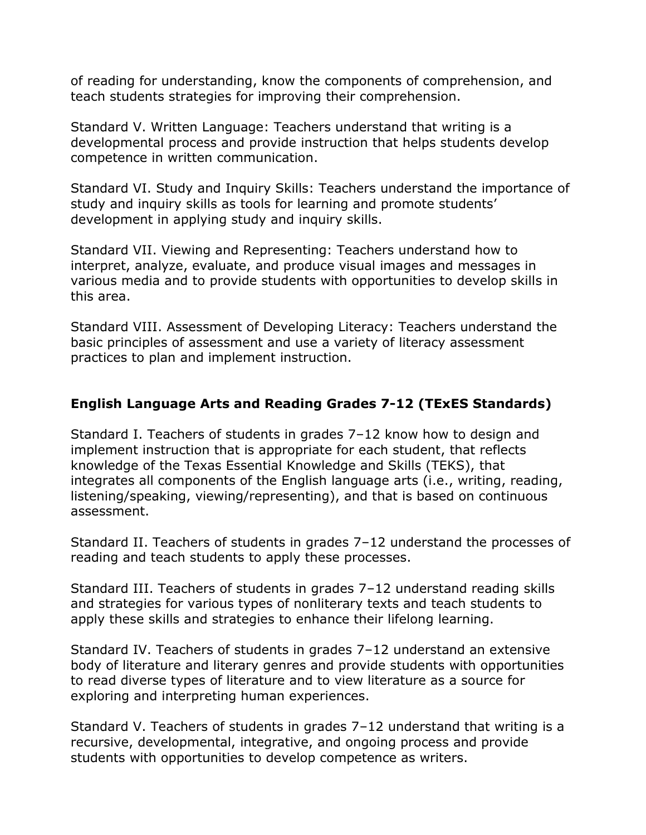of reading for understanding, know the components of comprehension, and teach students strategies for improving their comprehension.

Standard V. Written Language: Teachers understand that writing is a developmental process and provide instruction that helps students develop competence in written communication.

Standard VI. Study and Inquiry Skills: Teachers understand the importance of study and inquiry skills as tools for learning and promote students' development in applying study and inquiry skills.

Standard VII. Viewing and Representing: Teachers understand how to interpret, analyze, evaluate, and produce visual images and messages in various media and to provide students with opportunities to develop skills in this area.

Standard VIII. Assessment of Developing Literacy: Teachers understand the basic principles of assessment and use a variety of literacy assessment practices to plan and implement instruction.

# **English Language Arts and Reading Grades 7-12 (TExES Standards)**

Standard I. Teachers of students in grades 7–12 know how to design and implement instruction that is appropriate for each student, that reflects knowledge of the Texas Essential Knowledge and Skills (TEKS), that integrates all components of the English language arts (i.e., writing, reading, listening/speaking, viewing/representing), and that is based on continuous assessment.

Standard II. Teachers of students in grades 7–12 understand the processes of reading and teach students to apply these processes.

Standard III. Teachers of students in grades 7–12 understand reading skills and strategies for various types of nonliterary texts and teach students to apply these skills and strategies to enhance their lifelong learning.

Standard IV. Teachers of students in grades 7–12 understand an extensive body of literature and literary genres and provide students with opportunities to read diverse types of literature and to view literature as a source for exploring and interpreting human experiences.

Standard V. Teachers of students in grades 7–12 understand that writing is a recursive, developmental, integrative, and ongoing process and provide students with opportunities to develop competence as writers.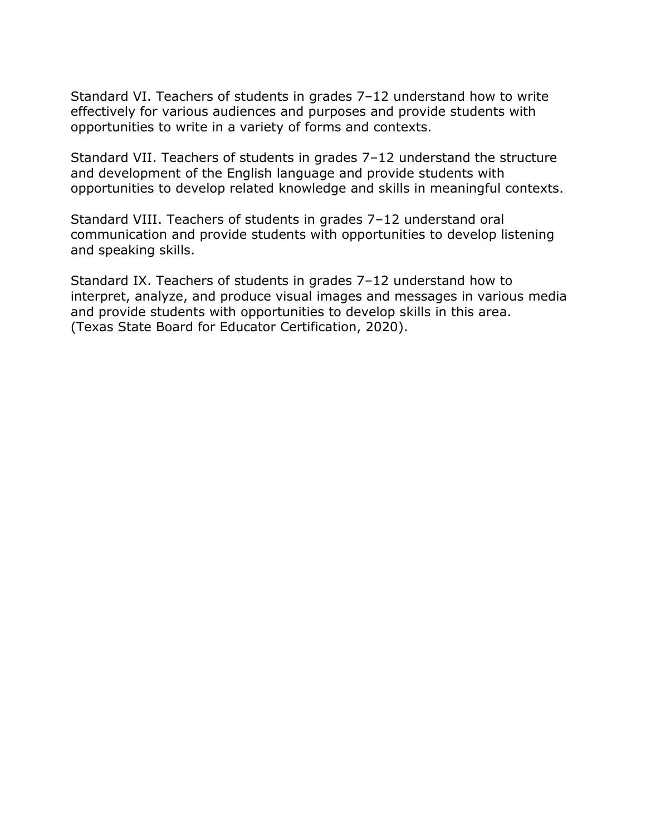Standard VI. Teachers of students in grades 7–12 understand how to write effectively for various audiences and purposes and provide students with opportunities to write in a variety of forms and contexts.

Standard VII. Teachers of students in grades 7–12 understand the structure and development of the English language and provide students with opportunities to develop related knowledge and skills in meaningful contexts.

Standard VIII. Teachers of students in grades 7–12 understand oral communication and provide students with opportunities to develop listening and speaking skills.

Standard IX. Teachers of students in grades 7–12 understand how to interpret, analyze, and produce visual images and messages in various media and provide students with opportunities to develop skills in this area. (Texas State Board for Educator Certification, 2020).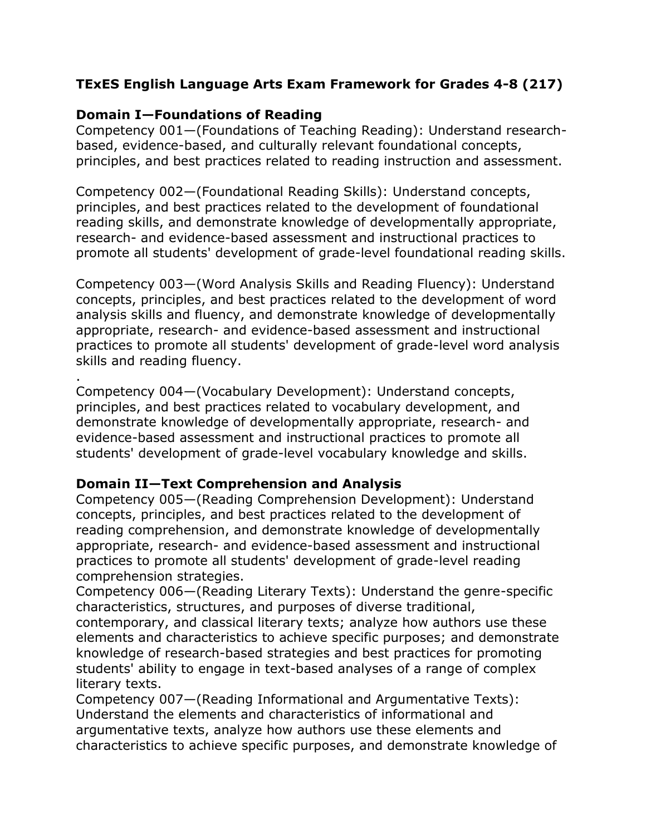# **TExES English Language Arts Exam Framework for Grades 4-8 (217)**

## **Domain I—Foundations of Reading**

.

Competency 001—(Foundations of Teaching Reading): Understand researchbased, evidence-based, and culturally relevant foundational concepts, principles, and best practices related to reading instruction and assessment.

Competency 002—(Foundational Reading Skills): Understand concepts, principles, and best practices related to the development of foundational reading skills, and demonstrate knowledge of developmentally appropriate, research- and evidence-based assessment and instructional practices to promote all students' development of grade-level foundational reading skills.

Competency 003—(Word Analysis Skills and Reading Fluency): Understand concepts, principles, and best practices related to the development of word analysis skills and fluency, and demonstrate knowledge of developmentally appropriate, research- and evidence-based assessment and instructional practices to promote all students' development of grade-level word analysis skills and reading fluency.

Competency 004—(Vocabulary Development): Understand concepts, principles, and best practices related to vocabulary development, and demonstrate knowledge of developmentally appropriate, research- and evidence-based assessment and instructional practices to promote all students' development of grade-level vocabulary knowledge and skills.

## **Domain II—Text Comprehension and Analysis**

Competency 005—(Reading Comprehension Development): Understand concepts, principles, and best practices related to the development of reading comprehension, and demonstrate knowledge of developmentally appropriate, research- and evidence-based assessment and instructional practices to promote all students' development of grade-level reading comprehension strategies.

Competency 006—(Reading Literary Texts): Understand the genre-specific characteristics, structures, and purposes of diverse traditional,

contemporary, and classical literary texts; analyze how authors use these elements and characteristics to achieve specific purposes; and demonstrate knowledge of research-based strategies and best practices for promoting students' ability to engage in text-based analyses of a range of complex literary texts.

Competency 007—(Reading Informational and Argumentative Texts): Understand the elements and characteristics of informational and argumentative texts, analyze how authors use these elements and characteristics to achieve specific purposes, and demonstrate knowledge of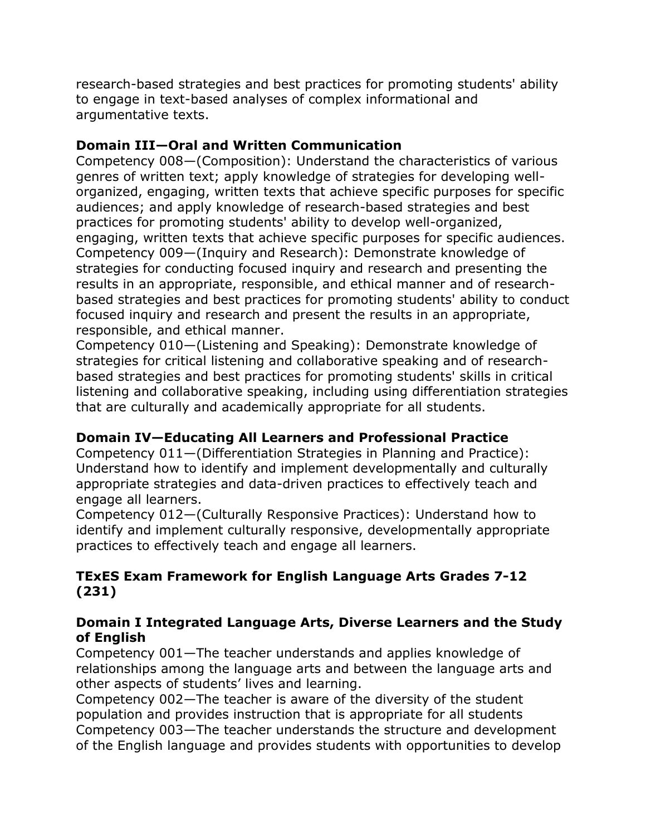research-based strategies and best practices for promoting students' ability to engage in text-based analyses of complex informational and argumentative texts.

## **Domain III—Oral and Written Communication**

Competency 008—(Composition): Understand the characteristics of various genres of written text; apply knowledge of strategies for developing wellorganized, engaging, written texts that achieve specific purposes for specific audiences; and apply knowledge of research-based strategies and best practices for promoting students' ability to develop well-organized, engaging, written texts that achieve specific purposes for specific audiences. Competency 009—(Inquiry and Research): Demonstrate knowledge of strategies for conducting focused inquiry and research and presenting the results in an appropriate, responsible, and ethical manner and of researchbased strategies and best practices for promoting students' ability to conduct focused inquiry and research and present the results in an appropriate, responsible, and ethical manner.

Competency 010—(Listening and Speaking): Demonstrate knowledge of strategies for critical listening and collaborative speaking and of researchbased strategies and best practices for promoting students' skills in critical listening and collaborative speaking, including using differentiation strategies that are culturally and academically appropriate for all students.

# **Domain IV—Educating All Learners and Professional Practice**

Competency 011—(Differentiation Strategies in Planning and Practice): Understand how to identify and implement developmentally and culturally appropriate strategies and data-driven practices to effectively teach and engage all learners.

Competency 012—(Culturally Responsive Practices): Understand how to identify and implement culturally responsive, developmentally appropriate practices to effectively teach and engage all learners.

# **TExES Exam Framework for English Language Arts Grades 7-12 (231)**

## **Domain I Integrated Language Arts, Diverse Learners and the Study of English**

Competency 001—The teacher understands and applies knowledge of relationships among the language arts and between the language arts and other aspects of students' lives and learning.

Competency 002—The teacher is aware of the diversity of the student population and provides instruction that is appropriate for all students Competency 003—The teacher understands the structure and development of the English language and provides students with opportunities to develop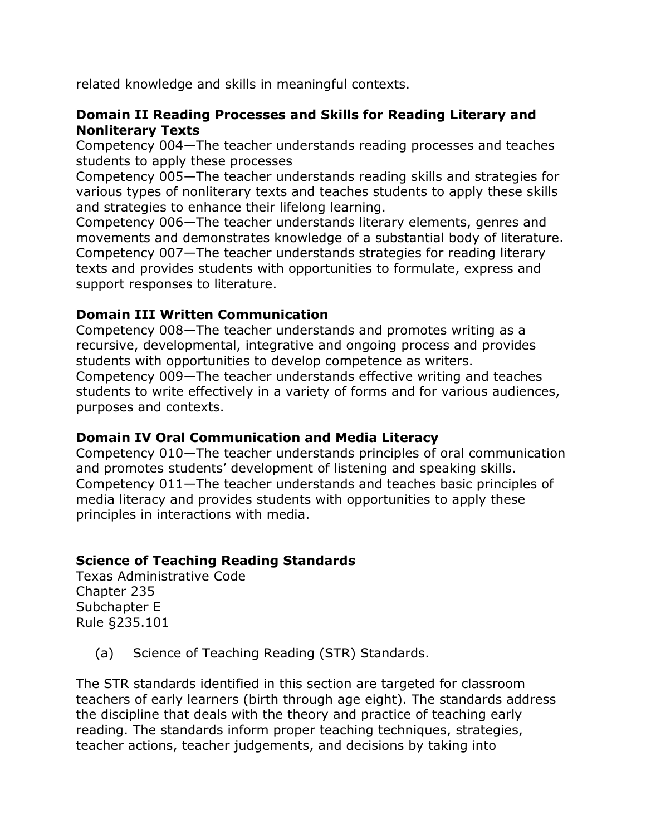related knowledge and skills in meaningful contexts.

### **Domain II Reading Processes and Skills for Reading Literary and Nonliterary Texts**

Competency 004—The teacher understands reading processes and teaches students to apply these processes

Competency 005—The teacher understands reading skills and strategies for various types of nonliterary texts and teaches students to apply these skills and strategies to enhance their lifelong learning.

Competency 006—The teacher understands literary elements, genres and movements and demonstrates knowledge of a substantial body of literature. Competency 007—The teacher understands strategies for reading literary texts and provides students with opportunities to formulate, express and support responses to literature.

## **Domain III Written Communication**

Competency 008—The teacher understands and promotes writing as a recursive, developmental, integrative and ongoing process and provides students with opportunities to develop competence as writers. Competency 009—The teacher understands effective writing and teaches students to write effectively in a variety of forms and for various audiences, purposes and contexts.

## **Domain IV Oral Communication and Media Literacy**

Competency 010—The teacher understands principles of oral communication and promotes students' development of listening and speaking skills. Competency 011—The teacher understands and teaches basic principles of media literacy and provides students with opportunities to apply these principles in interactions with media.

## **Science of Teaching Reading Standards**

Texas Administrative Code Chapter 235 Subchapter E Rule §235.101

(a) Science of Teaching Reading (STR) Standards.

The STR standards identified in this section are targeted for classroom teachers of early learners (birth through age eight). The standards address the discipline that deals with the theory and practice of teaching early reading. The standards inform proper teaching techniques, strategies, teacher actions, teacher judgements, and decisions by taking into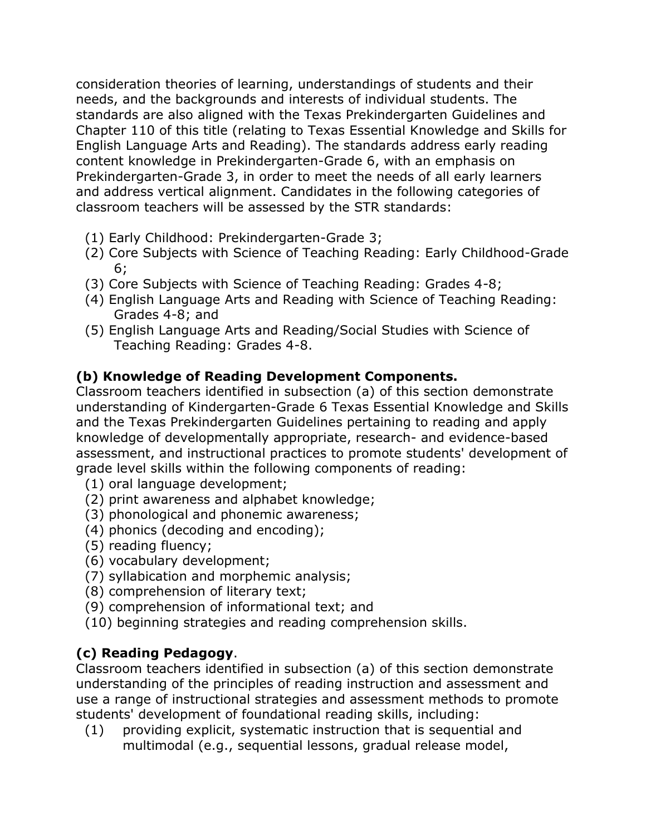consideration theories of learning, understandings of students and their needs, and the backgrounds and interests of individual students. The standards are also aligned with the Texas Prekindergarten Guidelines and Chapter 110 of this title (relating to Texas Essential Knowledge and Skills for English Language Arts and Reading). The standards address early reading content knowledge in Prekindergarten-Grade 6, with an emphasis on Prekindergarten-Grade 3, in order to meet the needs of all early learners and address vertical alignment. Candidates in the following categories of classroom teachers will be assessed by the STR standards:

- (1) Early Childhood: Prekindergarten-Grade 3;
- (2) Core Subjects with Science of Teaching Reading: Early Childhood-Grade 6;
- (3) Core Subjects with Science of Teaching Reading: Grades 4-8;
- (4) English Language Arts and Reading with Science of Teaching Reading: Grades 4-8; and
- (5) English Language Arts and Reading/Social Studies with Science of Teaching Reading: Grades 4-8.

# **(b) Knowledge of Reading Development Components.**

Classroom teachers identified in subsection (a) of this section demonstrate understanding of Kindergarten-Grade 6 Texas Essential Knowledge and Skills and the Texas Prekindergarten Guidelines pertaining to reading and apply knowledge of developmentally appropriate, research- and evidence-based assessment, and instructional practices to promote students' development of grade level skills within the following components of reading:

- (1) oral language development;
- (2) print awareness and alphabet knowledge;
- (3) phonological and phonemic awareness;
- (4) phonics (decoding and encoding);
- (5) reading fluency;
- (6) vocabulary development;
- (7) syllabication and morphemic analysis;
- (8) comprehension of literary text;
- (9) comprehension of informational text; and
- (10) beginning strategies and reading comprehension skills.

# **(c) Reading Pedagogy**.

Classroom teachers identified in subsection (a) of this section demonstrate understanding of the principles of reading instruction and assessment and use a range of instructional strategies and assessment methods to promote students' development of foundational reading skills, including:

(1) providing explicit, systematic instruction that is sequential and multimodal (e.g., sequential lessons, gradual release model,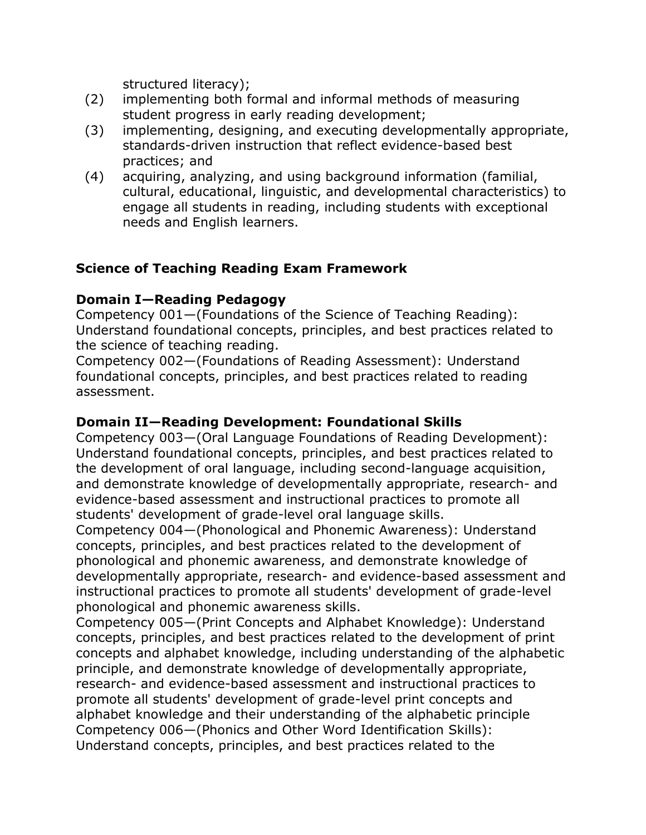structured literacy);

- (2) implementing both formal and informal methods of measuring student progress in early reading development;
- (3) implementing, designing, and executing developmentally appropriate, standards-driven instruction that reflect evidence-based best practices; and
- (4) acquiring, analyzing, and using background information (familial, cultural, educational, linguistic, and developmental characteristics) to engage all students in reading, including students with exceptional needs and English learners.

# **Science of Teaching Reading Exam Framework**

### **Domain I—Reading Pedagogy**

Competency 001—(Foundations of the Science of Teaching Reading): Understand foundational concepts, principles, and best practices related to the science of teaching reading.

Competency 002—(Foundations of Reading Assessment): Understand foundational concepts, principles, and best practices related to reading assessment.

## **Domain II—Reading Development: Foundational Skills**

Competency 003—(Oral Language Foundations of Reading Development): Understand foundational concepts, principles, and best practices related to the development of oral language, including second-language acquisition, and demonstrate knowledge of developmentally appropriate, research- and evidence-based assessment and instructional practices to promote all students' development of grade-level oral language skills.

Competency 004—(Phonological and Phonemic Awareness): Understand concepts, principles, and best practices related to the development of phonological and phonemic awareness, and demonstrate knowledge of developmentally appropriate, research- and evidence-based assessment and instructional practices to promote all students' development of grade-level phonological and phonemic awareness skills.

Competency 005—(Print Concepts and Alphabet Knowledge): Understand concepts, principles, and best practices related to the development of print concepts and alphabet knowledge, including understanding of the alphabetic principle, and demonstrate knowledge of developmentally appropriate, research- and evidence-based assessment and instructional practices to promote all students' development of grade-level print concepts and alphabet knowledge and their understanding of the alphabetic principle Competency 006—(Phonics and Other Word Identification Skills): Understand concepts, principles, and best practices related to the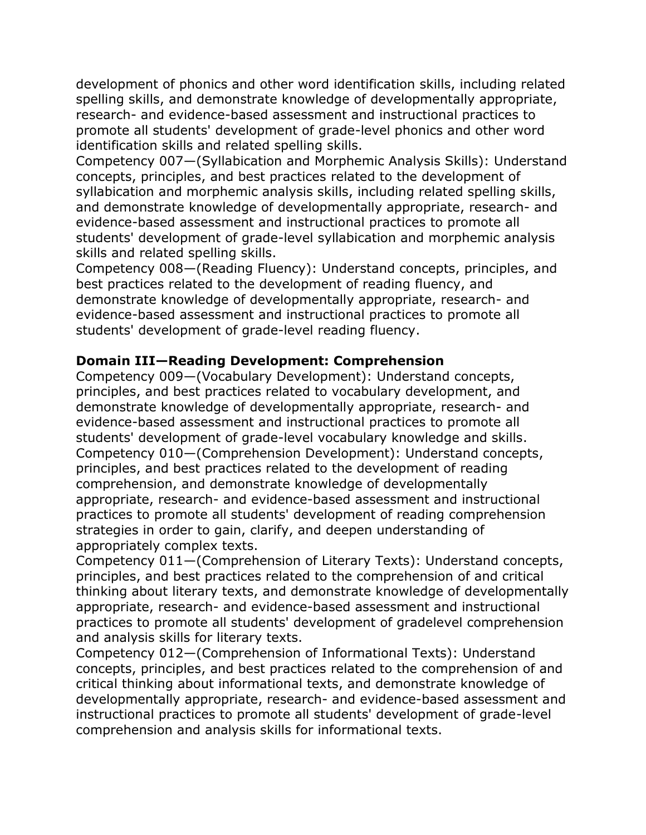development of phonics and other word identification skills, including related spelling skills, and demonstrate knowledge of developmentally appropriate, research- and evidence-based assessment and instructional practices to promote all students' development of grade-level phonics and other word identification skills and related spelling skills.

Competency 007—(Syllabication and Morphemic Analysis Skills): Understand concepts, principles, and best practices related to the development of syllabication and morphemic analysis skills, including related spelling skills, and demonstrate knowledge of developmentally appropriate, research- and evidence-based assessment and instructional practices to promote all students' development of grade-level syllabication and morphemic analysis skills and related spelling skills.

Competency 008—(Reading Fluency): Understand concepts, principles, and best practices related to the development of reading fluency, and demonstrate knowledge of developmentally appropriate, research- and evidence-based assessment and instructional practices to promote all students' development of grade-level reading fluency.

### **Domain III—Reading Development: Comprehension**

Competency 009—(Vocabulary Development): Understand concepts, principles, and best practices related to vocabulary development, and demonstrate knowledge of developmentally appropriate, research- and evidence-based assessment and instructional practices to promote all students' development of grade-level vocabulary knowledge and skills. Competency 010—(Comprehension Development): Understand concepts, principles, and best practices related to the development of reading comprehension, and demonstrate knowledge of developmentally appropriate, research- and evidence-based assessment and instructional practices to promote all students' development of reading comprehension strategies in order to gain, clarify, and deepen understanding of appropriately complex texts.

Competency 011—(Comprehension of Literary Texts): Understand concepts, principles, and best practices related to the comprehension of and critical thinking about literary texts, and demonstrate knowledge of developmentally appropriate, research- and evidence-based assessment and instructional practices to promote all students' development of gradelevel comprehension and analysis skills for literary texts.

Competency 012—(Comprehension of Informational Texts): Understand concepts, principles, and best practices related to the comprehension of and critical thinking about informational texts, and demonstrate knowledge of developmentally appropriate, research- and evidence-based assessment and instructional practices to promote all students' development of grade-level comprehension and analysis skills for informational texts.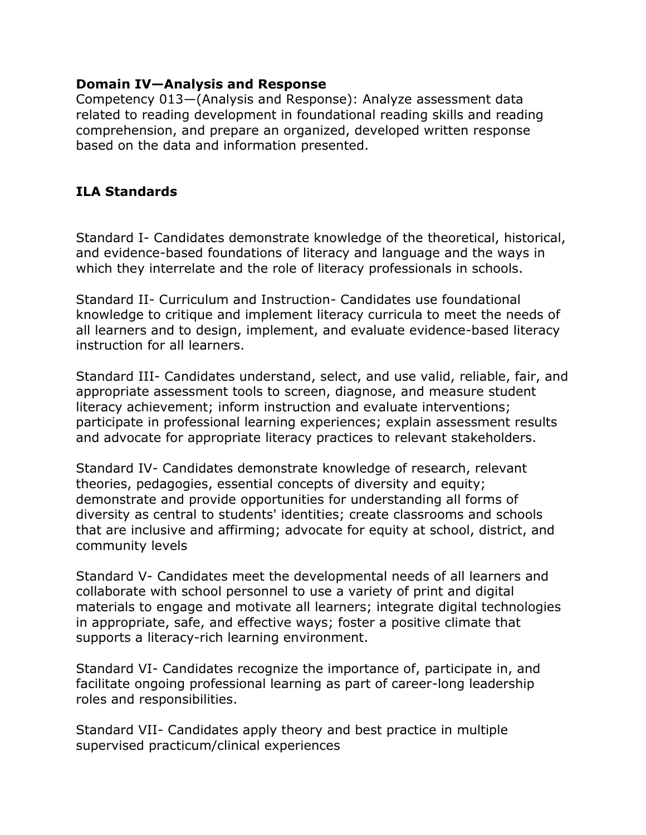### **Domain IV—Analysis and Response**

Competency 013—(Analysis and Response): Analyze assessment data related to reading development in foundational reading skills and reading comprehension, and prepare an organized, developed written response based on the data and information presented.

# **ILA Standards**

Standard I- Candidates demonstrate knowledge of the theoretical, historical, and evidence-based foundations of literacy and language and the ways in which they interrelate and the role of literacy professionals in schools.

Standard II- Curriculum and Instruction- Candidates use foundational knowledge to critique and implement literacy curricula to meet the needs of all learners and to design, implement, and evaluate evidence-based literacy instruction for all learners.

Standard III- Candidates understand, select, and use valid, reliable, fair, and appropriate assessment tools to screen, diagnose, and measure student literacy achievement; inform instruction and evaluate interventions; participate in professional learning experiences; explain assessment results and advocate for appropriate literacy practices to relevant stakeholders.

Standard IV- Candidates demonstrate knowledge of research, relevant theories, pedagogies, essential concepts of diversity and equity; demonstrate and provide opportunities for understanding all forms of diversity as central to students' identities; create classrooms and schools that are inclusive and affirming; advocate for equity at school, district, and community levels

Standard V- Candidates meet the developmental needs of all learners and collaborate with school personnel to use a variety of print and digital materials to engage and motivate all learners; integrate digital technologies in appropriate, safe, and effective ways; foster a positive climate that supports a literacy-rich learning environment.

Standard VI- Candidates recognize the importance of, participate in, and facilitate ongoing professional learning as part of career-long leadership roles and responsibilities.

Standard VII- Candidates apply theory and best practice in multiple supervised practicum/clinical experiences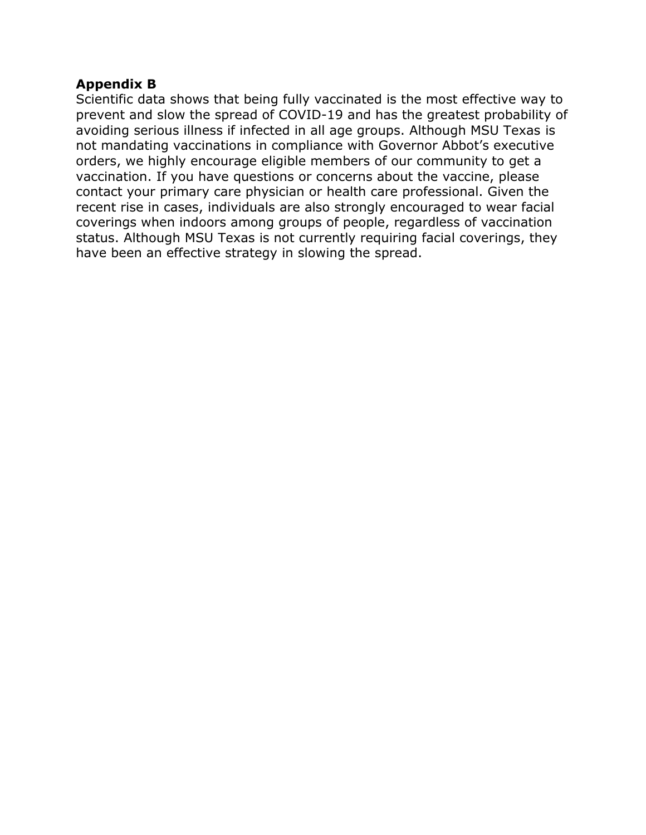### **Appendix B**

Scientific data shows that being fully vaccinated is the most effective way to prevent and slow the spread of COVID-19 and has the greatest probability of avoiding serious illness if infected in all age groups. Although MSU Texas is not mandating vaccinations in compliance with Governor Abbot's executive orders, we highly encourage eligible members of our community to get a vaccination. If you have questions or concerns about the vaccine, please contact your primary care physician or health care professional. Given the recent rise in cases, individuals are also strongly encouraged to wear facial coverings when indoors among groups of people, regardless of vaccination status. Although MSU Texas is not currently requiring facial coverings, they have been an effective strategy in slowing the spread.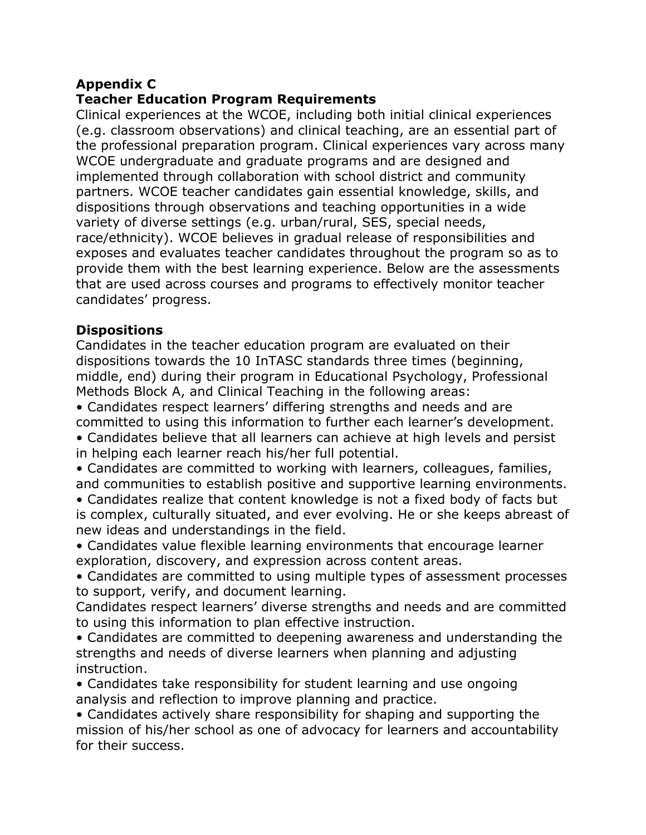# **Appendix C**

## **Teacher Education Program Requirements**

Clinical experiences at the WCOE, including both initial clinical experiences (e.g. classroom observations) and clinical teaching, are an essential part of the professional preparation program. Clinical experiences vary across many WCOE undergraduate and graduate programs and are designed and implemented through collaboration with school district and community partners. WCOE teacher candidates gain essential knowledge, skills, and dispositions through observations and teaching opportunities in a wide variety of diverse settings (e.g. urban/rural, SES, special needs, race/ethnicity). WCOE believes in gradual release of responsibilities and exposes and evaluates teacher candidates throughout the program so as to provide them with the best learning experience. Below are the assessments that are used across courses and programs to effectively monitor teacher candidates' progress.

### **Dispositions**

Candidates in the teacher education program are evaluated on their dispositions towards the 10 InTASC standards three times (beginning, middle, end) during their program in Educational Psychology, Professional Methods Block A, and Clinical Teaching in the following areas:

• Candidates respect learners' differing strengths and needs and are committed to using this information to further each learner's development.

• Candidates believe that all learners can achieve at high levels and persist in helping each learner reach his/her full potential.

• Candidates are committed to working with learners, colleagues, families, and communities to establish positive and supportive learning environments.

• Candidates realize that content knowledge is not a fixed body of facts but is complex, culturally situated, and ever evolving. He or she keeps abreast of new ideas and understandings in the field.

• Candidates value flexible learning environments that encourage learner exploration, discovery, and expression across content areas.

• Candidates are committed to using multiple types of assessment processes to support, verify, and document learning.

Candidates respect learners' diverse strengths and needs and are committed to using this information to plan effective instruction.

• Candidates are committed to deepening awareness and understanding the strengths and needs of diverse learners when planning and adjusting instruction.

• Candidates take responsibility for student learning and use ongoing analysis and reflection to improve planning and practice.

• Candidates actively share responsibility for shaping and supporting the mission of his/her school as one of advocacy for learners and accountability for their success.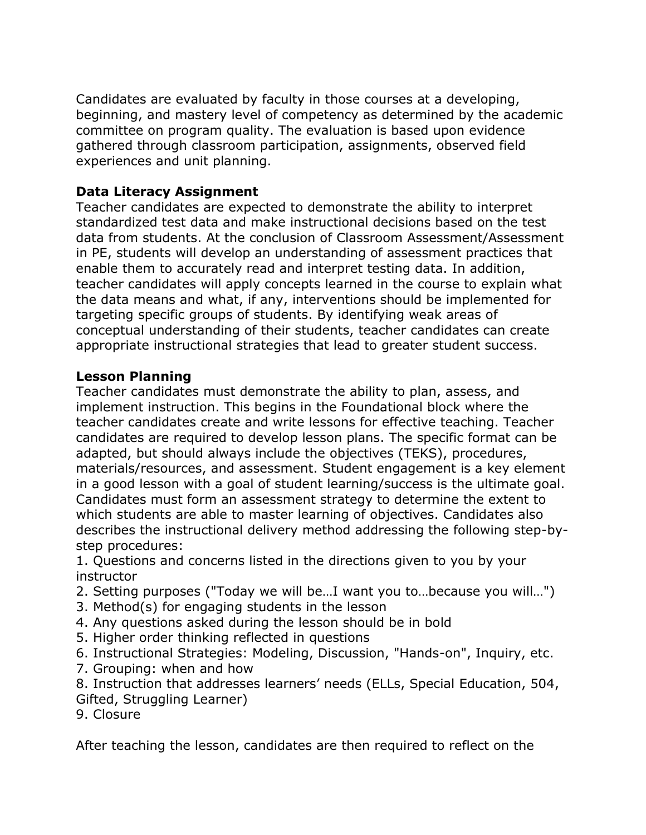Candidates are evaluated by faculty in those courses at a developing, beginning, and mastery level of competency as determined by the academic committee on program quality. The evaluation is based upon evidence gathered through classroom participation, assignments, observed field experiences and unit planning.

# **Data Literacy Assignment**

Teacher candidates are expected to demonstrate the ability to interpret standardized test data and make instructional decisions based on the test data from students. At the conclusion of Classroom Assessment/Assessment in PE, students will develop an understanding of assessment practices that enable them to accurately read and interpret testing data. In addition, teacher candidates will apply concepts learned in the course to explain what the data means and what, if any, interventions should be implemented for targeting specific groups of students. By identifying weak areas of conceptual understanding of their students, teacher candidates can create appropriate instructional strategies that lead to greater student success.

## **Lesson Planning**

Teacher candidates must demonstrate the ability to plan, assess, and implement instruction. This begins in the Foundational block where the teacher candidates create and write lessons for effective teaching. Teacher candidates are required to develop lesson plans. The specific format can be adapted, but should always include the objectives (TEKS), procedures, materials/resources, and assessment. Student engagement is a key element in a good lesson with a goal of student learning/success is the ultimate goal. Candidates must form an assessment strategy to determine the extent to which students are able to master learning of objectives. Candidates also describes the instructional delivery method addressing the following step-bystep procedures:

1. Questions and concerns listed in the directions given to you by your instructor

- 2. Setting purposes ("Today we will be…I want you to…because you will…")
- 3. Method(s) for engaging students in the lesson
- 4. Any questions asked during the lesson should be in bold
- 5. Higher order thinking reflected in questions
- 6. Instructional Strategies: Modeling, Discussion, "Hands-on", Inquiry, etc.
- 7. Grouping: when and how

8. Instruction that addresses learners' needs (ELLs, Special Education, 504, Gifted, Struggling Learner)

9. Closure

After teaching the lesson, candidates are then required to reflect on the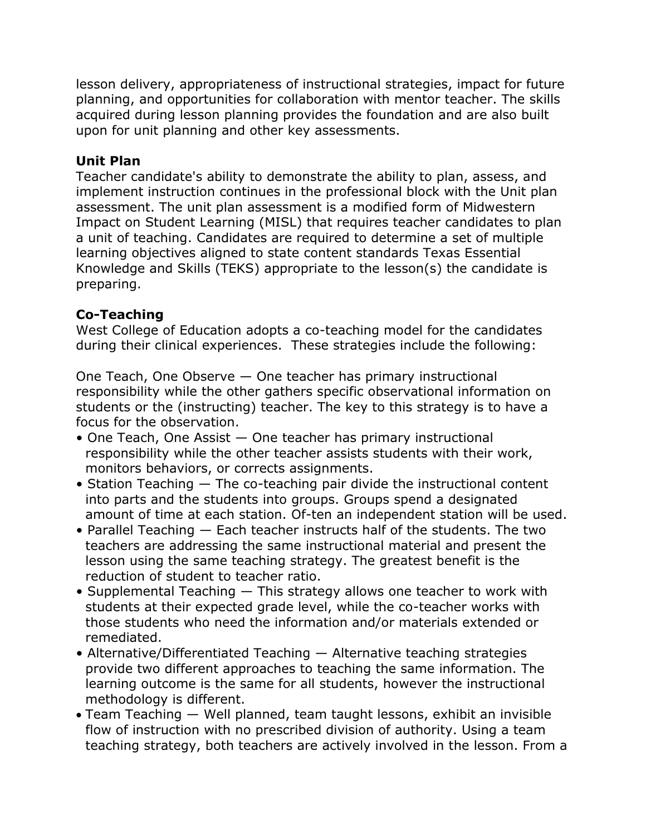lesson delivery, appropriateness of instructional strategies, impact for future planning, and opportunities for collaboration with mentor teacher. The skills acquired during lesson planning provides the foundation and are also built upon for unit planning and other key assessments.

## **Unit Plan**

Teacher candidate's ability to demonstrate the ability to plan, assess, and implement instruction continues in the professional block with the Unit plan assessment. The unit plan assessment is a modified form of Midwestern Impact on Student Learning (MISL) that requires teacher candidates to plan a unit of teaching. Candidates are required to determine a set of multiple learning objectives aligned to state content standards Texas Essential Knowledge and Skills (TEKS) appropriate to the lesson(s) the candidate is preparing.

### **Co-Teaching**

West College of Education adopts a co-teaching model for the candidates during their clinical experiences. These strategies include the following:

One Teach, One Observe — One teacher has primary instructional responsibility while the other gathers specific observational information on students or the (instructing) teacher. The key to this strategy is to have a focus for the observation.

- One Teach, One Assist One teacher has primary instructional responsibility while the other teacher assists students with their work, monitors behaviors, or corrects assignments.
- Station Teaching  $-$  The co-teaching pair divide the instructional content into parts and the students into groups. Groups spend a designated amount of time at each station. Of-ten an independent station will be used.
- Parallel Teaching Each teacher instructs half of the students. The two teachers are addressing the same instructional material and present the lesson using the same teaching strategy. The greatest benefit is the reduction of student to teacher ratio.
- Supplemental Teaching This strategy allows one teacher to work with students at their expected grade level, while the co-teacher works with those students who need the information and/or materials extended or remediated.
- Alternative/Differentiated Teaching Alternative teaching strategies provide two different approaches to teaching the same information. The learning outcome is the same for all students, however the instructional methodology is different.
- Team Teaching Well planned, team taught lessons, exhibit an invisible flow of instruction with no prescribed division of authority. Using a team teaching strategy, both teachers are actively involved in the lesson. From a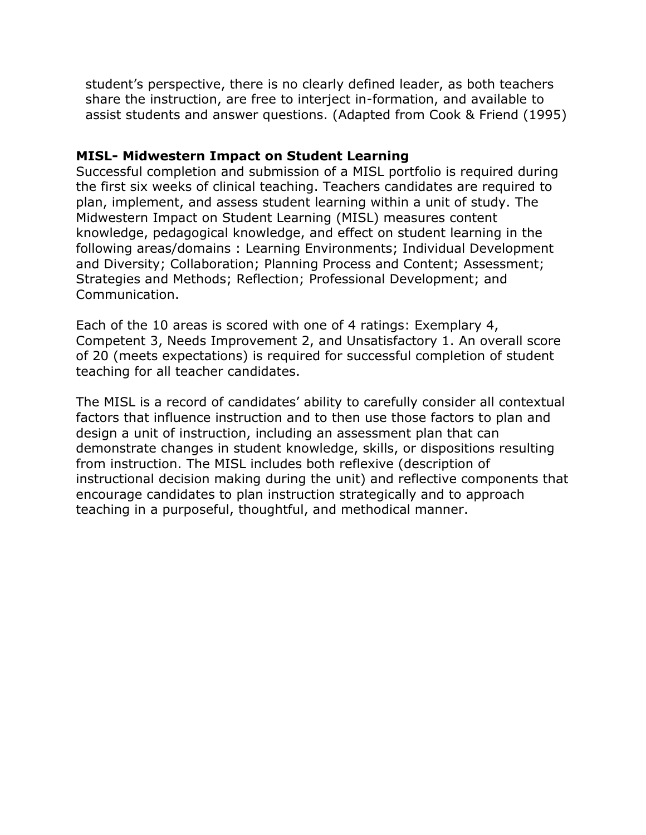student's perspective, there is no clearly defined leader, as both teachers share the instruction, are free to interject in-formation, and available to assist students and answer questions. (Adapted from Cook & Friend (1995)

#### **MISL- Midwestern Impact on Student Learning**

Successful completion and submission of a MISL portfolio is required during the first six weeks of clinical teaching. Teachers candidates are required to plan, implement, and assess student learning within a unit of study. The Midwestern Impact on Student Learning (MISL) measures content knowledge, pedagogical knowledge, and effect on student learning in the following areas/domains : Learning Environments; Individual Development and Diversity; Collaboration; Planning Process and Content; Assessment; Strategies and Methods; Reflection; Professional Development; and Communication.

Each of the 10 areas is scored with one of 4 ratings: Exemplary 4, Competent 3, Needs Improvement 2, and Unsatisfactory 1. An overall score of 20 (meets expectations) is required for successful completion of student teaching for all teacher candidates.

The MISL is a record of candidates' ability to carefully consider all contextual factors that influence instruction and to then use those factors to plan and design a unit of instruction, including an assessment plan that can demonstrate changes in student knowledge, skills, or dispositions resulting from instruction. The MISL includes both reflexive (description of instructional decision making during the unit) and reflective components that encourage candidates to plan instruction strategically and to approach teaching in a purposeful, thoughtful, and methodical manner.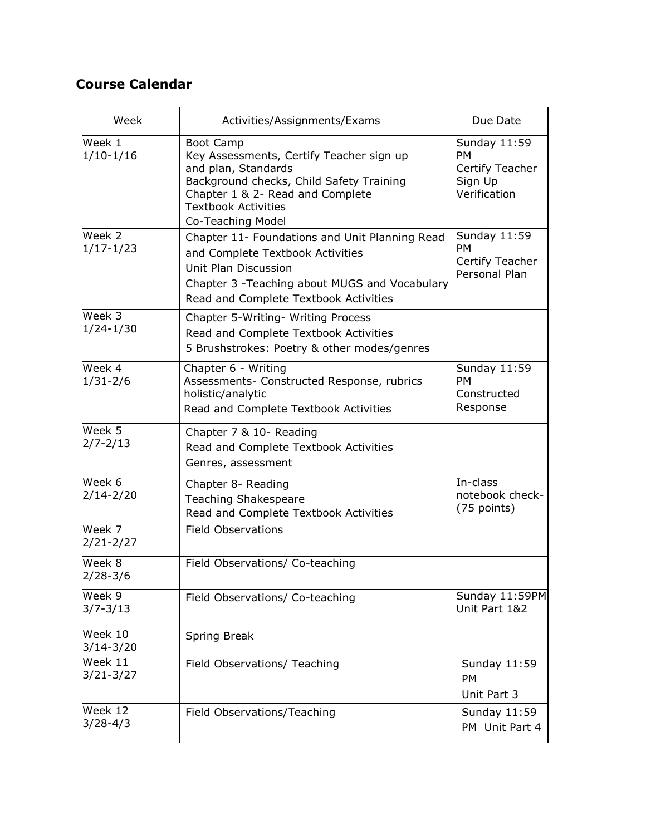# **Course Calendar**

| Week                     | Activities/Assignments/Exams                                                                                                                                                                                           | Due Date                                                         |
|--------------------------|------------------------------------------------------------------------------------------------------------------------------------------------------------------------------------------------------------------------|------------------------------------------------------------------|
| Week 1<br>$1/10-1/16$    | <b>Boot Camp</b><br>Key Assessments, Certify Teacher sign up<br>and plan, Standards<br>Background checks, Child Safety Training<br>Chapter 1 & 2- Read and Complete<br><b>Textbook Activities</b><br>Co-Teaching Model | Sunday 11:59<br>PМ<br>Certify Teacher<br>Sign Up<br>Verification |
| Week 2<br>$1/17 - 1/23$  | Chapter 11- Foundations and Unit Planning Read<br>and Complete Textbook Activities<br>Unit Plan Discussion<br>Chapter 3 - Teaching about MUGS and Vocabulary<br>Read and Complete Textbook Activities                  | Sunday 11:59<br><b>PM</b><br>Certify Teacher<br>Personal Plan    |
| Week 3<br>$1/24 - 1/30$  | Chapter 5-Writing- Writing Process<br>Read and Complete Textbook Activities<br>5 Brushstrokes: Poetry & other modes/genres                                                                                             |                                                                  |
| Week 4<br>$1/31 - 2/6$   | Chapter 6 - Writing<br>Assessments- Constructed Response, rubrics<br>holistic/analytic<br>Read and Complete Textbook Activities                                                                                        | Sunday 11:59<br>PМ<br>Constructed<br>Response                    |
| Week 5<br>$2/7 - 2/13$   | Chapter 7 & 10- Reading<br>Read and Complete Textbook Activities<br>Genres, assessment                                                                                                                                 |                                                                  |
| Week 6<br>$2/14 - 2/20$  | Chapter 8- Reading<br><b>Teaching Shakespeare</b><br>Read and Complete Textbook Activities                                                                                                                             | In-class<br>notebook check-<br>(75 points)                       |
| Week 7<br>$2/21 - 2/27$  | <b>Field Observations</b>                                                                                                                                                                                              |                                                                  |
| Week 8<br>$2/28 - 3/6$   | Field Observations/ Co-teaching                                                                                                                                                                                        |                                                                  |
| Week 9<br>$3/7 - 3/13$   | Field Observations/ Co-teaching                                                                                                                                                                                        | Sunday 11:59PM<br>Unit Part 1&2                                  |
| Week 10<br>$3/14 - 3/20$ | Spring Break                                                                                                                                                                                                           |                                                                  |
| Week 11<br>$3/21 - 3/27$ | Field Observations/ Teaching                                                                                                                                                                                           | Sunday 11:59<br><b>PM</b><br>Unit Part 3                         |
| Week 12<br>$3/28 - 4/3$  | Field Observations/Teaching                                                                                                                                                                                            | Sunday 11:59<br>PM Unit Part 4                                   |